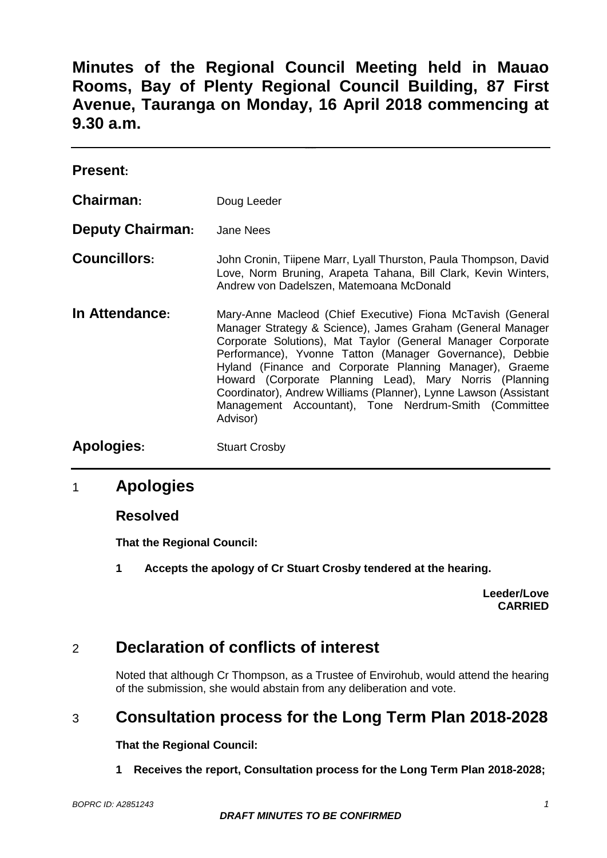**Minutes of the Regional Council Meeting held in Mauao Rooms, Bay of Plenty Regional Council Building, 87 First Avenue, Tauranga on Monday, 16 April 2018 commencing at 9.30 a.m.**

| <b>Present:</b>         |                                                                                                                                                                                                                                                                                                                                                                                                                                                                                                                     |
|-------------------------|---------------------------------------------------------------------------------------------------------------------------------------------------------------------------------------------------------------------------------------------------------------------------------------------------------------------------------------------------------------------------------------------------------------------------------------------------------------------------------------------------------------------|
| Chairman:               | Doug Leeder                                                                                                                                                                                                                                                                                                                                                                                                                                                                                                         |
| <b>Deputy Chairman:</b> | Jane Nees                                                                                                                                                                                                                                                                                                                                                                                                                                                                                                           |
| <b>Councillors:</b>     | John Cronin, Tiipene Marr, Lyall Thurston, Paula Thompson, David<br>Love, Norm Bruning, Arapeta Tahana, Bill Clark, Kevin Winters,<br>Andrew von Dadelszen, Matemoana McDonald                                                                                                                                                                                                                                                                                                                                      |
| In Attendance:          | Mary-Anne Macleod (Chief Executive) Fiona McTavish (General<br>Manager Strategy & Science), James Graham (General Manager<br>Corporate Solutions), Mat Taylor (General Manager Corporate<br>Performance), Yvonne Tatton (Manager Governance), Debbie<br>Hyland (Finance and Corporate Planning Manager), Graeme<br>Howard (Corporate Planning Lead), Mary Norris (Planning<br>Coordinator), Andrew Williams (Planner), Lynne Lawson (Assistant<br>Management Accountant), Tone Nerdrum-Smith (Committee<br>Advisor) |
| Apologies:              | <b>Stuart Crosby</b>                                                                                                                                                                                                                                                                                                                                                                                                                                                                                                |

# 1 **Apologies**

**Resolved**

**That the Regional Council:**

**1 Accepts the apology of Cr Stuart Crosby tendered at the hearing.**

**Leeder/Love CARRIED**

# 2 **Declaration of conflicts of interest**

Noted that although Cr Thompson, as a Trustee of Envirohub, would attend the hearing of the submission, she would abstain from any deliberation and vote.

# 3 **Consultation process for the Long Term Plan 2018-2028**

**That the Regional Council:**

**1 Receives the report, Consultation process for the Long Term Plan 2018-2028;**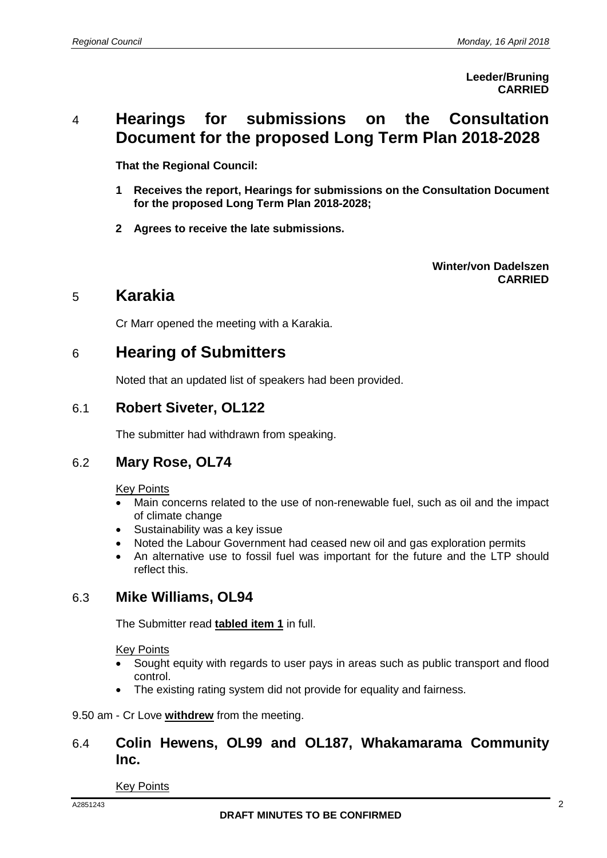**Leeder/Bruning CARRIED**

# 4 **Hearings for submissions on the Consultation Document for the proposed Long Term Plan 2018-2028**

**That the Regional Council:**

- **1 Receives the report, Hearings for submissions on the Consultation Document for the proposed Long Term Plan 2018-2028;**
- **2 Agrees to receive the late submissions.**

**Winter/von Dadelszen CARRIED**

# 5 **Karakia**

Cr Marr opened the meeting with a Karakia.

# 6 **Hearing of Submitters**

Noted that an updated list of speakers had been provided.

### 6.1 **Robert Siveter, OL122**

The submitter had withdrawn from speaking.

# 6.2 **Mary Rose, OL74**

#### Key Points

- Main concerns related to the use of non-renewable fuel, such as oil and the impact of climate change
- Sustainability was a key issue
- Noted the Labour Government had ceased new oil and gas exploration permits
- An alternative use to fossil fuel was important for the future and the LTP should reflect this.

# 6.3 **Mike Williams, OL94**

The Submitter read **tabled item 1** in full.

#### Key Points

- Sought equity with regards to user pays in areas such as public transport and flood control.
- The existing rating system did not provide for equality and fairness.
- 9.50 am Cr Love **withdrew** from the meeting.

# 6.4 **Colin Hewens, OL99 and OL187, Whakamarama Community Inc.**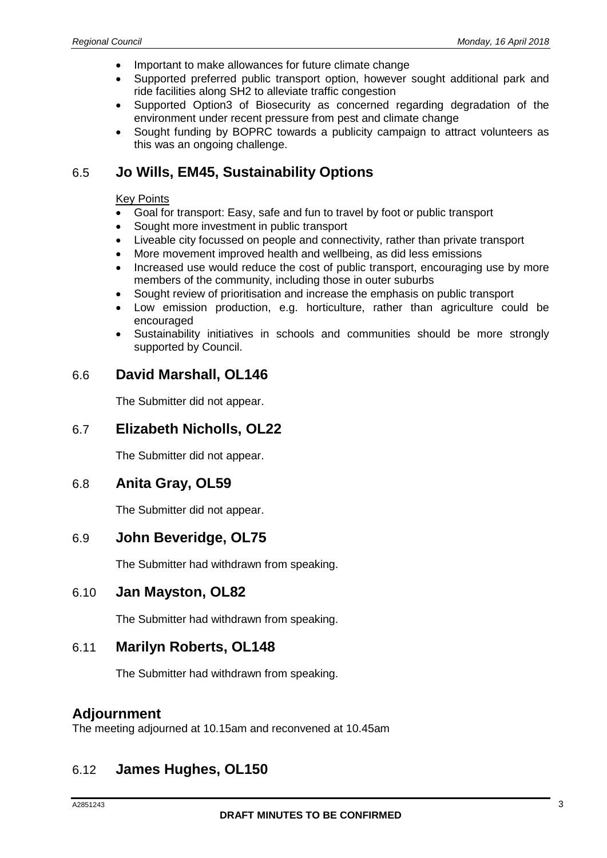- Important to make allowances for future climate change
- Supported preferred public transport option, however sought additional park and ride facilities along SH2 to alleviate traffic congestion
- Supported Option3 of Biosecurity as concerned regarding degradation of the environment under recent pressure from pest and climate change
- Sought funding by BOPRC towards a publicity campaign to attract volunteers as this was an ongoing challenge.

# 6.5 **Jo Wills, EM45, Sustainability Options**

#### Key Points

- Goal for transport: Easy, safe and fun to travel by foot or public transport
- Sought more investment in public transport
- Liveable city focussed on people and connectivity, rather than private transport
- More movement improved health and wellbeing, as did less emissions
- Increased use would reduce the cost of public transport, encouraging use by more members of the community, including those in outer suburbs
- Sought review of prioritisation and increase the emphasis on public transport
- Low emission production, e.g. horticulture, rather than agriculture could be encouraged
- Sustainability initiatives in schools and communities should be more strongly supported by Council.

# 6.6 **David Marshall, OL146**

The Submitter did not appear.

# 6.7 **Elizabeth Nicholls, OL22**

The Submitter did not appear.

# 6.8 **Anita Gray, OL59**

The Submitter did not appear.

### 6.9 **John Beveridge, OL75**

The Submitter had withdrawn from speaking.

### 6.10 **Jan Mayston, OL82**

The Submitter had withdrawn from speaking.

### 6.11 **Marilyn Roberts, OL148**

The Submitter had withdrawn from speaking.

# **Adjournment**

The meeting adjourned at 10.15am and reconvened at 10.45am

# 6.12 **James Hughes, OL150**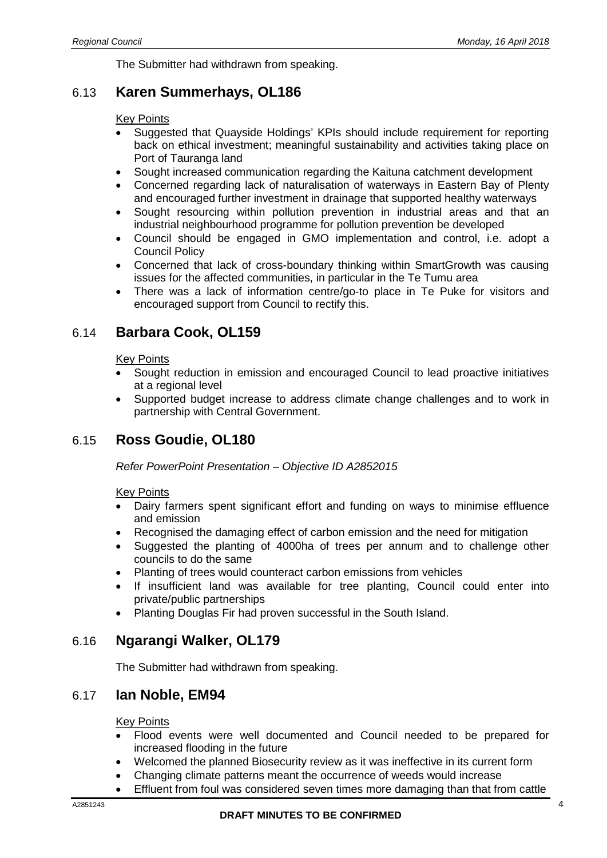The Submitter had withdrawn from speaking.

## 6.13 **Karen Summerhays, OL186**

#### Key Points

- Suggested that Quayside Holdings' KPIs should include requirement for reporting back on ethical investment; meaningful sustainability and activities taking place on Port of Tauranga land
- Sought increased communication regarding the Kaituna catchment development
- Concerned regarding lack of naturalisation of waterways in Eastern Bay of Plenty and encouraged further investment in drainage that supported healthy waterways
- Sought resourcing within pollution prevention in industrial areas and that an industrial neighbourhood programme for pollution prevention be developed
- Council should be engaged in GMO implementation and control, i.e. adopt a Council Policy
- Concerned that lack of cross-boundary thinking within SmartGrowth was causing issues for the affected communities, in particular in the Te Tumu area
- There was a lack of information centre/go-to place in Te Puke for visitors and encouraged support from Council to rectify this.

### 6.14 **Barbara Cook, OL159**

#### Key Points

- Sought reduction in emission and encouraged Council to lead proactive initiatives at a regional level
- Supported budget increase to address climate change challenges and to work in partnership with Central Government.

### 6.15 **Ross Goudie, OL180**

*Refer PowerPoint Presentation – Objective ID A2852015*

#### Key Points

- Dairy farmers spent significant effort and funding on ways to minimise effluence and emission
- Recognised the damaging effect of carbon emission and the need for mitigation
- Suggested the planting of 4000ha of trees per annum and to challenge other councils to do the same
- Planting of trees would counteract carbon emissions from vehicles
- If insufficient land was available for tree planting, Council could enter into private/public partnerships
- Planting Douglas Fir had proven successful in the South Island.

### 6.16 **Ngarangi Walker, OL179**

The Submitter had withdrawn from speaking.

### 6.17 **Ian Noble, EM94**

- Flood events were well documented and Council needed to be prepared for increased flooding in the future
- Welcomed the planned Biosecurity review as it was ineffective in its current form
- Changing climate patterns meant the occurrence of weeds would increase
- Effluent from foul was considered seven times more damaging than that from cattle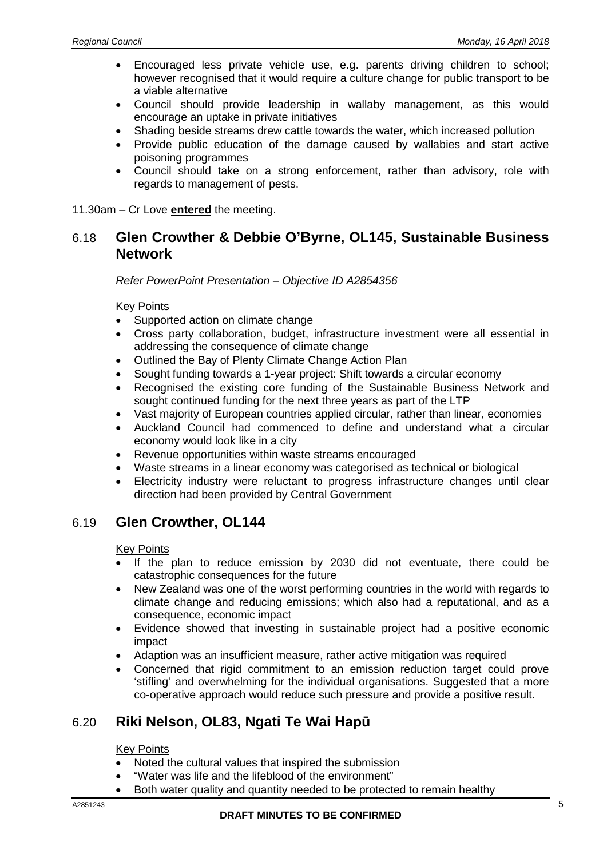- Encouraged less private vehicle use, e.g. parents driving children to school; however recognised that it would require a culture change for public transport to be a viable alternative
- Council should provide leadership in wallaby management, as this would encourage an uptake in private initiatives
- Shading beside streams drew cattle towards the water, which increased pollution
- Provide public education of the damage caused by wallabies and start active poisoning programmes
- Council should take on a strong enforcement, rather than advisory, role with regards to management of pests.
- 11.30am Cr Love **entered** the meeting.

# 6.18 **Glen Crowther & Debbie O'Byrne, OL145, Sustainable Business Network**

*Refer PowerPoint Presentation – Objective ID A2854356*

#### Key Points

- Supported action on climate change
- Cross party collaboration, budget, infrastructure investment were all essential in addressing the consequence of climate change
- Outlined the Bay of Plenty Climate Change Action Plan
- Sought funding towards a 1-year project: Shift towards a circular economy
- Recognised the existing core funding of the Sustainable Business Network and sought continued funding for the next three years as part of the LTP
- Vast majority of European countries applied circular, rather than linear, economies
- Auckland Council had commenced to define and understand what a circular economy would look like in a city
- Revenue opportunities within waste streams encouraged
- Waste streams in a linear economy was categorised as technical or biological
- Electricity industry were reluctant to progress infrastructure changes until clear direction had been provided by Central Government

# 6.19 **Glen Crowther, OL144**

Key Points

- If the plan to reduce emission by 2030 did not eventuate, there could be catastrophic consequences for the future
- New Zealand was one of the worst performing countries in the world with regards to climate change and reducing emissions; which also had a reputational, and as a consequence, economic impact
- Evidence showed that investing in sustainable project had a positive economic impact
- Adaption was an insufficient measure, rather active mitigation was required
- Concerned that rigid commitment to an emission reduction target could prove 'stifling' and overwhelming for the individual organisations. Suggested that a more co-operative approach would reduce such pressure and provide a positive result.

# 6.20 **Riki Nelson, OL83, Ngati Te Wai Hapū**

- Noted the cultural values that inspired the submission
- "Water was life and the lifeblood of the environment"
- Both water quality and quantity needed to be protected to remain healthy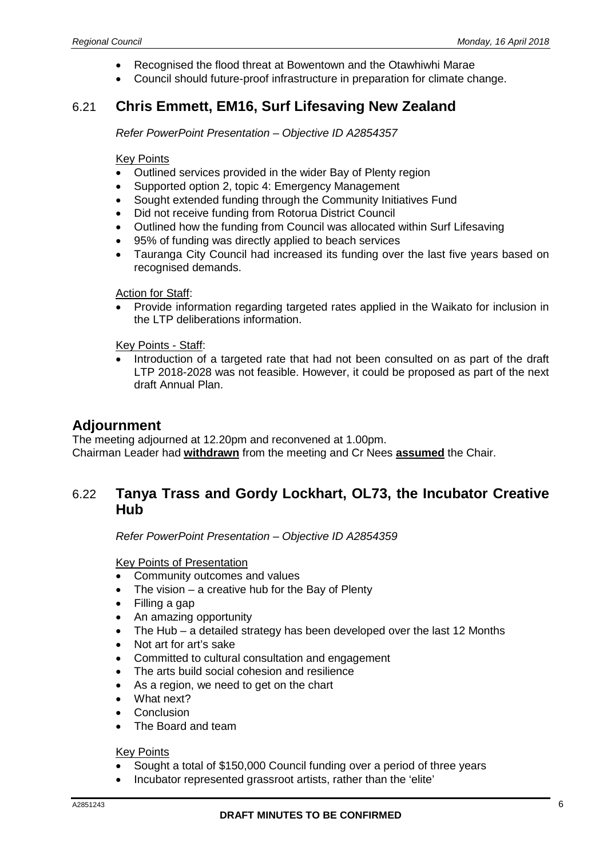- Recognised the flood threat at Bowentown and the Otawhiwhi Marae
- Council should future-proof infrastructure in preparation for climate change.

# 6.21 **Chris Emmett, EM16, Surf Lifesaving New Zealand**

*Refer PowerPoint Presentation – Objective ID A2854357*

#### Key Points

- Outlined services provided in the wider Bay of Plenty region
- Supported option 2, topic 4: Emergency Management
- Sought extended funding through the Community Initiatives Fund
- Did not receive funding from Rotorua District Council
- Outlined how the funding from Council was allocated within Surf Lifesaving
- 95% of funding was directly applied to beach services
- Tauranga City Council had increased its funding over the last five years based on recognised demands.

#### Action for Staff:

• Provide information regarding targeted rates applied in the Waikato for inclusion in the LTP deliberations information.

#### Key Points - Staff:

• Introduction of a targeted rate that had not been consulted on as part of the draft LTP 2018-2028 was not feasible. However, it could be proposed as part of the next draft Annual Plan.

### **Adjournment**

The meeting adjourned at 12.20pm and reconvened at 1.00pm. Chairman Leader had **withdrawn** from the meeting and Cr Nees **assumed** the Chair.

# 6.22 **Tanya Trass and Gordy Lockhart, OL73, the Incubator Creative Hub**

*Refer PowerPoint Presentation – Objective ID A2854359*

#### Key Points of Presentation

- Community outcomes and values
- The vision a creative hub for the Bay of Plenty
- Filling a gap
- An amazing opportunity
- The Hub a detailed strategy has been developed over the last 12 Months
- Not art for art's sake
- Committed to cultural consultation and engagement
- The arts build social cohesion and resilience
- As a region, we need to get on the chart
- What next?
- **Conclusion**
- The Board and team

- Sought a total of \$150,000 Council funding over a period of three years
- Incubator represented grassroot artists, rather than the 'elite'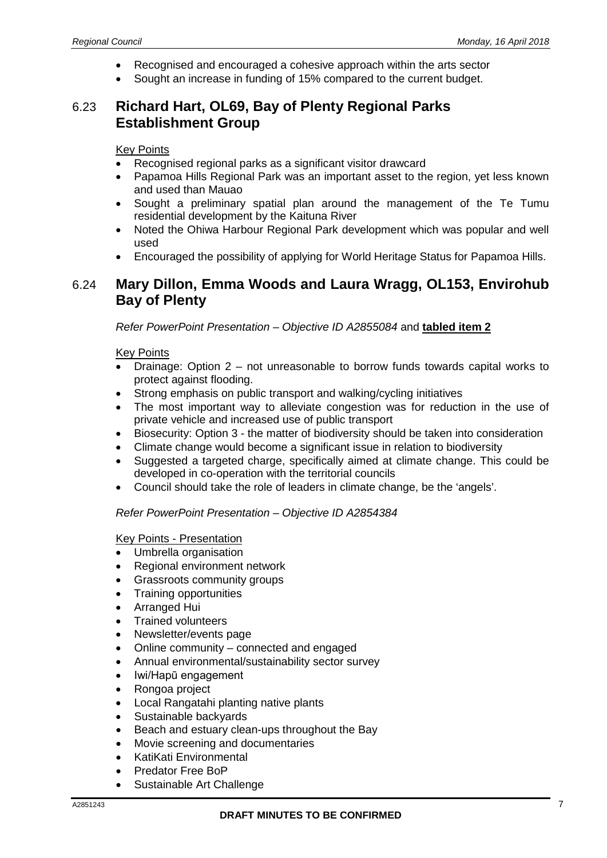- Recognised and encouraged a cohesive approach within the arts sector
- Sought an increase in funding of 15% compared to the current budget.

### 6.23 **Richard Hart, OL69, Bay of Plenty Regional Parks Establishment Group**

#### Key Points

- Recognised regional parks as a significant visitor drawcard
- Papamoa Hills Regional Park was an important asset to the region, yet less known and used than Mauao
- Sought a preliminary spatial plan around the management of the Te Tumu residential development by the Kaituna River
- Noted the Ohiwa Harbour Regional Park development which was popular and well used
- Encouraged the possibility of applying for World Heritage Status for Papamoa Hills.

## 6.24 **Mary Dillon, Emma Woods and Laura Wragg, OL153, Envirohub Bay of Plenty**

*Refer PowerPoint Presentation – Objective ID A2855084* and **tabled item 2**

#### Key Points

- Drainage: Option 2 not unreasonable to borrow funds towards capital works to protect against flooding.
- Strong emphasis on public transport and walking/cycling initiatives
- The most important way to alleviate congestion was for reduction in the use of private vehicle and increased use of public transport
- Biosecurity: Option 3 the matter of biodiversity should be taken into consideration
- Climate change would become a significant issue in relation to biodiversity
- Suggested a targeted charge, specifically aimed at climate change. This could be developed in co-operation with the territorial councils
- Council should take the role of leaders in climate change, be the 'angels'.

#### *Refer PowerPoint Presentation – Objective ID A2854384*

#### Key Points - Presentation

- Umbrella organisation
- Regional environment network
- Grassroots community groups
- Training opportunities
- Arranged Hui
- Trained volunteers
- Newsletter/events page
- Online community connected and engaged
- Annual environmental/sustainability sector survey
- Iwi/Hapū engagement
- Rongoa project
- Local Rangatahi planting native plants
- Sustainable backyards
- Beach and estuary clean-ups throughout the Bay
- Movie screening and documentaries
- KatiKati Environmental
- Predator Free BoP
- Sustainable Art Challenge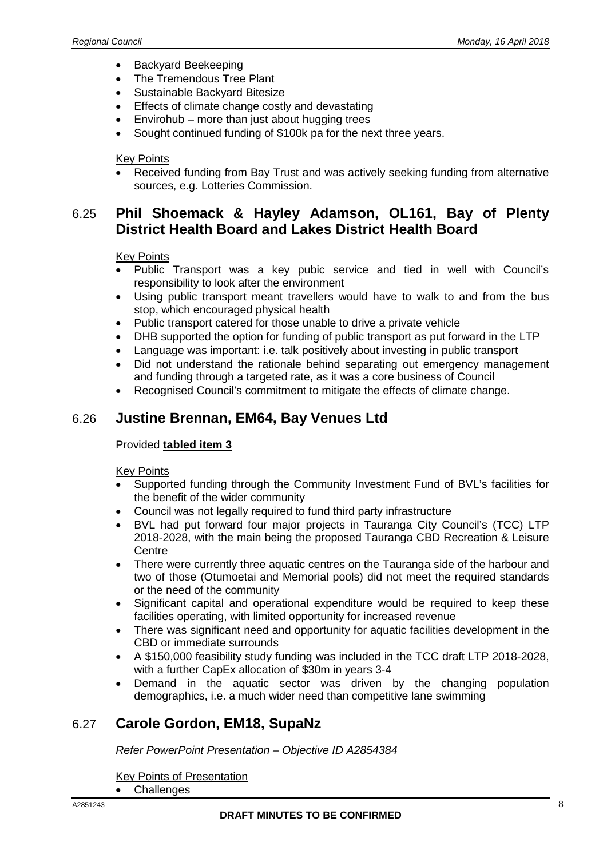- Backyard Beekeeping
- The Tremendous Tree Plant
- Sustainable Backyard Bitesize
- Effects of climate change costly and devastating
- Envirohub more than just about hugging trees
- Sought continued funding of \$100k pa for the next three years.

#### Key Points

• Received funding from Bay Trust and was actively seeking funding from alternative sources, e.g. Lotteries Commission.

# 6.25 **Phil Shoemack & Hayley Adamson, OL161, Bay of Plenty District Health Board and Lakes District Health Board**

#### Key Points

- Public Transport was a key pubic service and tied in well with Council's responsibility to look after the environment
- Using public transport meant travellers would have to walk to and from the bus stop, which encouraged physical health
- Public transport catered for those unable to drive a private vehicle
- DHB supported the option for funding of public transport as put forward in the LTP
- Language was important: i.e. talk positively about investing in public transport
- Did not understand the rationale behind separating out emergency management and funding through a targeted rate, as it was a core business of Council
- Recognised Council's commitment to mitigate the effects of climate change.

# 6.26 **Justine Brennan, EM64, Bay Venues Ltd**

#### Provided **tabled item 3**

#### Key Points

- Supported funding through the Community Investment Fund of BVL's facilities for the benefit of the wider community
- Council was not legally required to fund third party infrastructure
- BVL had put forward four major projects in Tauranga City Council's (TCC) LTP 2018-2028, with the main being the proposed Tauranga CBD Recreation & Leisure **Centre**
- There were currently three aquatic centres on the Tauranga side of the harbour and two of those (Otumoetai and Memorial pools) did not meet the required standards or the need of the community
- Significant capital and operational expenditure would be required to keep these facilities operating, with limited opportunity for increased revenue
- There was significant need and opportunity for aquatic facilities development in the CBD or immediate surrounds
- A \$150,000 feasibility study funding was included in the TCC draft LTP 2018-2028, with a further CapEx allocation of \$30m in years 3-4
- Demand in the aquatic sector was driven by the changing population demographics, i.e. a much wider need than competitive lane swimming

# 6.27 **Carole Gordon, EM18, SupaNz**

*Refer PowerPoint Presentation – Objective ID A2854384*

Key Points of Presentation

**Challenges**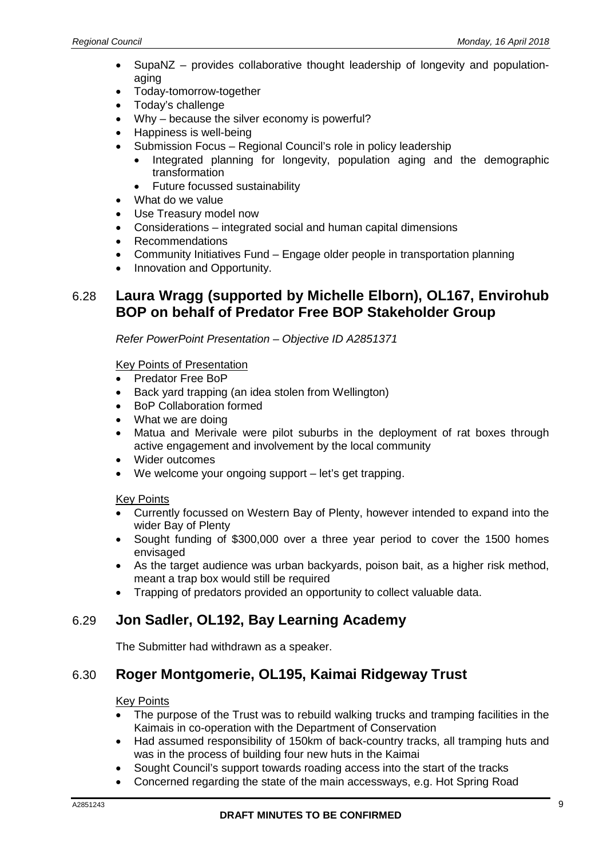- SupaNZ provides collaborative thought leadership of longevity and populationaging
- Today-tomorrow-together
- Today's challenge
- Why because the silver economy is powerful?
- Happiness is well-being
- Submission Focus Regional Council's role in policy leadership
	- Integrated planning for longevity, population aging and the demographic transformation
	- Future focussed sustainability
- What do we value
- Use Treasury model now
- Considerations integrated social and human capital dimensions
- Recommendations
- Community Initiatives Fund Engage older people in transportation planning
- Innovation and Opportunity.

# 6.28 **Laura Wragg (supported by Michelle Elborn), OL167, Envirohub BOP on behalf of Predator Free BOP Stakeholder Group**

*Refer PowerPoint Presentation – Objective ID A2851371*

#### Key Points of Presentation

- Predator Free BoP
- Back yard trapping (an idea stolen from Wellington)
- BoP Collaboration formed
- What we are doing
- Matua and Merivale were pilot suburbs in the deployment of rat boxes through active engagement and involvement by the local community
- Wider outcomes
- We welcome your ongoing support let's get trapping.

#### Key Points

- Currently focussed on Western Bay of Plenty, however intended to expand into the wider Bay of Plenty
- Sought funding of \$300,000 over a three year period to cover the 1500 homes envisaged
- As the target audience was urban backyards, poison bait, as a higher risk method, meant a trap box would still be required
- Trapping of predators provided an opportunity to collect valuable data.

# 6.29 **Jon Sadler, OL192, Bay Learning Academy**

The Submitter had withdrawn as a speaker.

# 6.30 **Roger Montgomerie, OL195, Kaimai Ridgeway Trust**

- The purpose of the Trust was to rebuild walking trucks and tramping facilities in the Kaimais in co-operation with the Department of Conservation
- Had assumed responsibility of 150km of back-country tracks, all tramping huts and was in the process of building four new huts in the Kaimai
- Sought Council's support towards roading access into the start of the tracks
- Concerned regarding the state of the main accessways, e.g. Hot Spring Road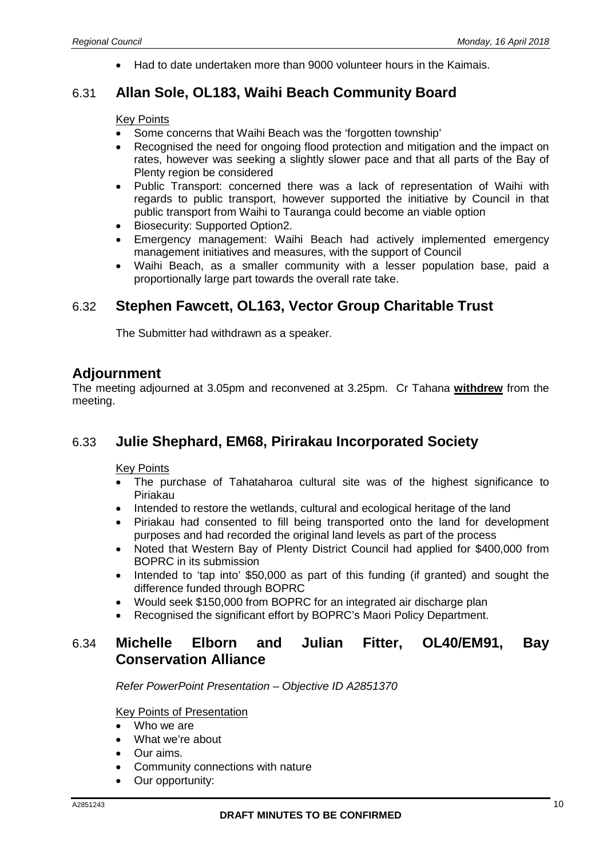• Had to date undertaken more than 9000 volunteer hours in the Kaimais.

# 6.31 **Allan Sole, OL183, Waihi Beach Community Board**

#### Key Points

- Some concerns that Waihi Beach was the 'forgotten township'
- Recognised the need for ongoing flood protection and mitigation and the impact on rates, however was seeking a slightly slower pace and that all parts of the Bay of Plenty region be considered
- Public Transport: concerned there was a lack of representation of Waihi with regards to public transport, however supported the initiative by Council in that public transport from Waihi to Tauranga could become an viable option
- Biosecurity: Supported Option2.
- Emergency management: Waihi Beach had actively implemented emergency management initiatives and measures, with the support of Council
- Waihi Beach, as a smaller community with a lesser population base, paid a proportionally large part towards the overall rate take.

### 6.32 **Stephen Fawcett, OL163, Vector Group Charitable Trust**

The Submitter had withdrawn as a speaker.

### **Adjournment**

The meeting adjourned at 3.05pm and reconvened at 3.25pm. Cr Tahana **withdrew** from the meeting.

### 6.33 **Julie Shephard, EM68, Pirirakau Incorporated Society**

#### Key Points

- The purchase of Tahataharoa cultural site was of the highest significance to Piriakau
- Intended to restore the wetlands, cultural and ecological heritage of the land
- Piriakau had consented to fill being transported onto the land for development purposes and had recorded the original land levels as part of the process
- Noted that Western Bay of Plenty District Council had applied for \$400,000 from BOPRC in its submission
- Intended to 'tap into' \$50,000 as part of this funding (if granted) and sought the difference funded through BOPRC
- Would seek \$150,000 from BOPRC for an integrated air discharge plan
- Recognised the significant effort by BOPRC's Maori Policy Department.

# 6.34 **Michelle Elborn and Julian Fitter, OL40/EM91, Bay Conservation Alliance**

*Refer PowerPoint Presentation – Objective ID A2851370*

Key Points of Presentation

- Who we are
- What we're about
- Our aims.
- Community connections with nature
- Our opportunity: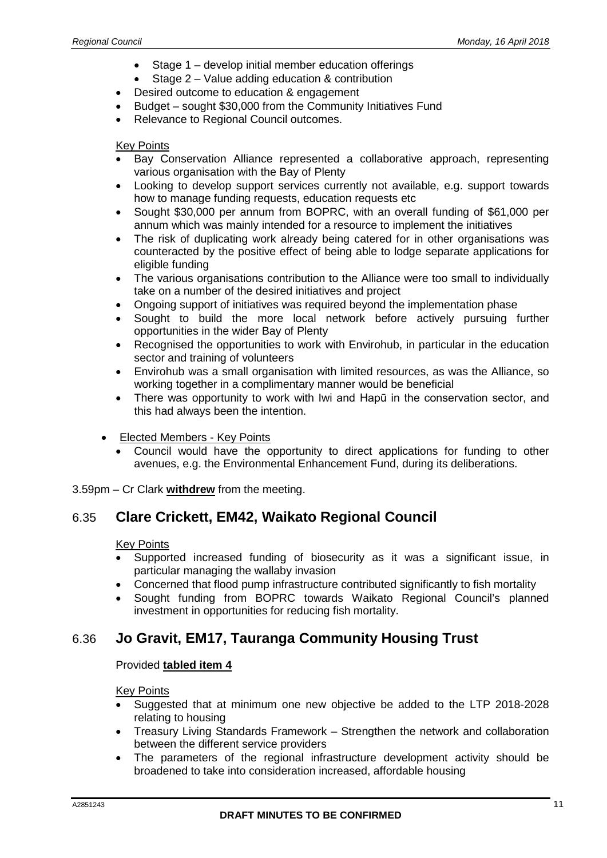- Stage 1 develop initial member education offerings
- Stage 2 Value adding education & contribution
- Desired outcome to education & engagement
- Budget sought \$30,000 from the Community Initiatives Fund
- Relevance to Regional Council outcomes.

#### Key Points

- Bay Conservation Alliance represented a collaborative approach, representing various organisation with the Bay of Plenty
- Looking to develop support services currently not available, e.g. support towards how to manage funding requests, education requests etc
- Sought \$30,000 per annum from BOPRC, with an overall funding of \$61,000 per annum which was mainly intended for a resource to implement the initiatives
- The risk of duplicating work already being catered for in other organisations was counteracted by the positive effect of being able to lodge separate applications for eligible funding
- The various organisations contribution to the Alliance were too small to individually take on a number of the desired initiatives and project
- Ongoing support of initiatives was required beyond the implementation phase
- Sought to build the more local network before actively pursuing further opportunities in the wider Bay of Plenty
- Recognised the opportunities to work with Envirohub, in particular in the education sector and training of volunteers
- Envirohub was a small organisation with limited resources, as was the Alliance, so working together in a complimentary manner would be beneficial
- There was opportunity to work with Iwi and Hapū in the conservation sector, and this had always been the intention.
- Elected Members Key Points
	- Council would have the opportunity to direct applications for funding to other avenues, e.g. the Environmental Enhancement Fund, during its deliberations.
- 3.59pm Cr Clark **withdrew** from the meeting.

### 6.35 **Clare Crickett, EM42, Waikato Regional Council**

#### Key Points

- Supported increased funding of biosecurity as it was a significant issue, in particular managing the wallaby invasion
- Concerned that flood pump infrastructure contributed significantly to fish mortality
- Sought funding from BOPRC towards Waikato Regional Council's planned investment in opportunities for reducing fish mortality.

# 6.36 **Jo Gravit, EM17, Tauranga Community Housing Trust**

#### Provided **tabled item 4**

- Suggested that at minimum one new objective be added to the LTP 2018-2028 relating to housing
- Treasury Living Standards Framework Strengthen the network and collaboration between the different service providers
- The parameters of the regional infrastructure development activity should be broadened to take into consideration increased, affordable housing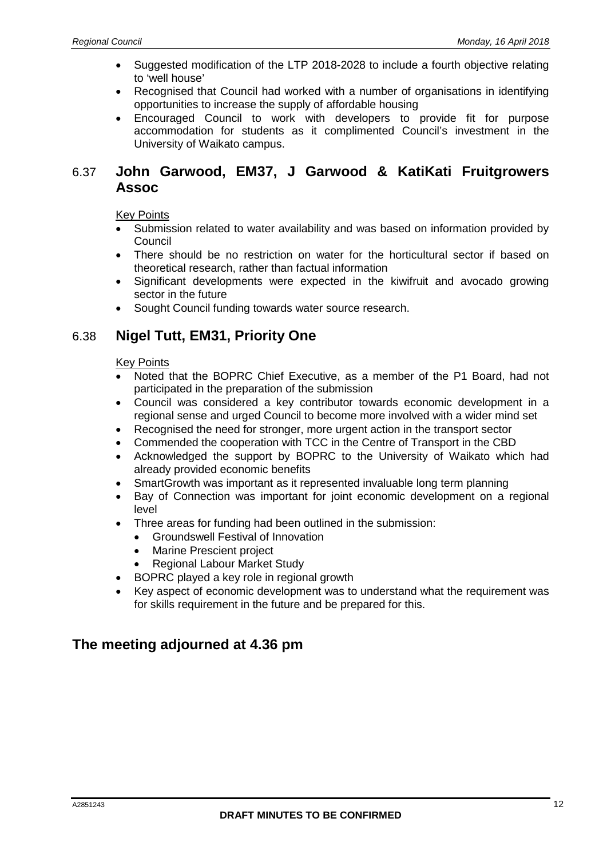- Suggested modification of the LTP 2018-2028 to include a fourth objective relating to 'well house'
- Recognised that Council had worked with a number of organisations in identifying opportunities to increase the supply of affordable housing
- Encouraged Council to work with developers to provide fit for purpose accommodation for students as it complimented Council's investment in the University of Waikato campus.

# 6.37 **John Garwood, EM37, J Garwood & KatiKati Fruitgrowers Assoc**

Key Points

- Submission related to water availability and was based on information provided by Council
- There should be no restriction on water for the horticultural sector if based on theoretical research, rather than factual information
- Significant developments were expected in the kiwifruit and avocado growing sector in the future
- Sought Council funding towards water source research.

# 6.38 **Nigel Tutt, EM31, Priority One**

#### Key Points

- Noted that the BOPRC Chief Executive, as a member of the P1 Board, had not participated in the preparation of the submission
- Council was considered a key contributor towards economic development in a regional sense and urged Council to become more involved with a wider mind set
- Recognised the need for stronger, more urgent action in the transport sector
- Commended the cooperation with TCC in the Centre of Transport in the CBD
- Acknowledged the support by BOPRC to the University of Waikato which had already provided economic benefits
- SmartGrowth was important as it represented invaluable long term planning
- Bay of Connection was important for joint economic development on a regional level
- Three areas for funding had been outlined in the submission:
	- Groundswell Festival of Innovation
	- Marine Prescient project
	- Regional Labour Market Study
- BOPRC played a key role in regional growth
- Key aspect of economic development was to understand what the requirement was for skills requirement in the future and be prepared for this.

# **The meeting adjourned at 4.36 pm**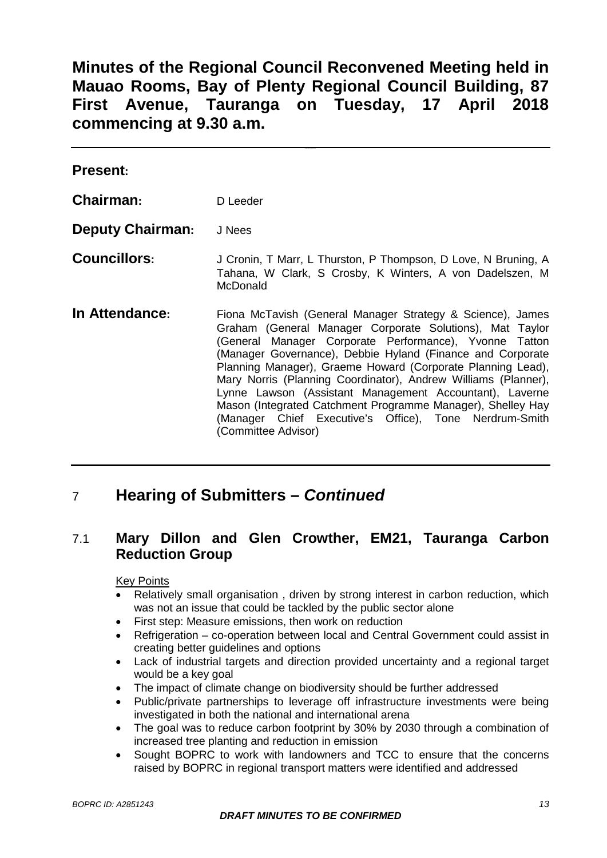**Minutes of the Regional Council Reconvened Meeting held in Mauao Rooms, Bay of Plenty Regional Council Building, 87 First Avenue, Tauranga on Tuesday, 17 April 2018 commencing at 9.30 a.m.**

| <b>Present:</b>         |                                                                                                                                                                                                                                                                                                                                                                                                                                                                                                                                                                                            |
|-------------------------|--------------------------------------------------------------------------------------------------------------------------------------------------------------------------------------------------------------------------------------------------------------------------------------------------------------------------------------------------------------------------------------------------------------------------------------------------------------------------------------------------------------------------------------------------------------------------------------------|
| Chairman:               | D Leeder                                                                                                                                                                                                                                                                                                                                                                                                                                                                                                                                                                                   |
| <b>Deputy Chairman:</b> | J Nees                                                                                                                                                                                                                                                                                                                                                                                                                                                                                                                                                                                     |
| <b>Councillors:</b>     | J Cronin, T Marr, L Thurston, P Thompson, D Love, N Bruning, A<br>Tahana, W Clark, S Crosby, K Winters, A von Dadelszen, M<br>McDonald                                                                                                                                                                                                                                                                                                                                                                                                                                                     |
| In Attendance:          | Fiona McTavish (General Manager Strategy & Science), James<br>Graham (General Manager Corporate Solutions), Mat Taylor<br>(General Manager Corporate Performance), Yvonne Tatton<br>(Manager Governance), Debbie Hyland (Finance and Corporate<br>Planning Manager), Graeme Howard (Corporate Planning Lead),<br>Mary Norris (Planning Coordinator), Andrew Williams (Planner),<br>Lynne Lawson (Assistant Management Accountant), Laverne<br>Mason (Integrated Catchment Programme Manager), Shelley Hay<br>(Manager Chief Executive's Office), Tone Nerdrum-Smith<br>(Committee Advisor) |

# 7 **Hearing of Submitters –** *Continued*

# 7.1 **Mary Dillon and Glen Crowther, EM21, Tauranga Carbon Reduction Group**

- Relatively small organisation, driven by strong interest in carbon reduction, which was not an issue that could be tackled by the public sector alone
- First step: Measure emissions, then work on reduction
- Refrigeration co-operation between local and Central Government could assist in creating better guidelines and options
- Lack of industrial targets and direction provided uncertainty and a regional target would be a key goal
- The impact of climate change on biodiversity should be further addressed
- Public/private partnerships to leverage off infrastructure investments were being investigated in both the national and international arena
- The goal was to reduce carbon footprint by 30% by 2030 through a combination of increased tree planting and reduction in emission
- Sought BOPRC to work with landowners and TCC to ensure that the concerns raised by BOPRC in regional transport matters were identified and addressed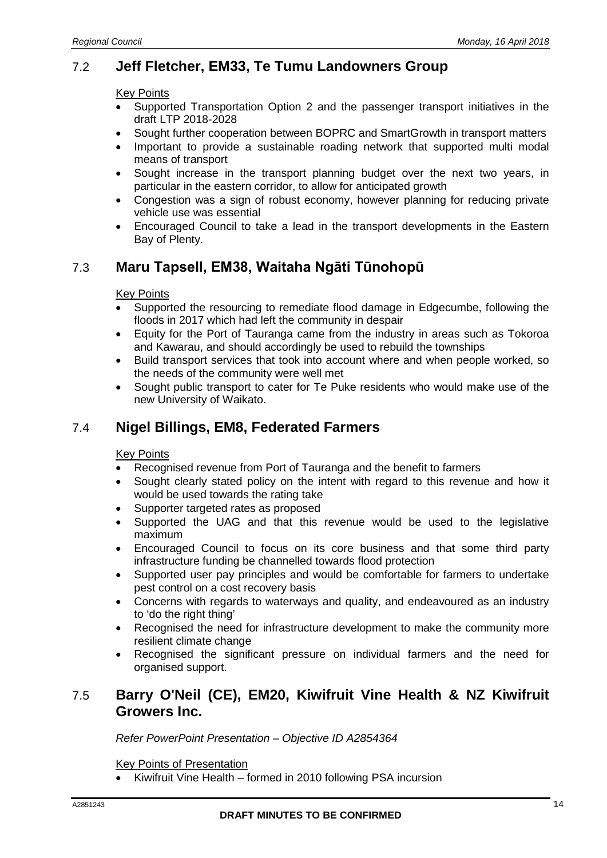# 7.2 **Jeff Fletcher, EM33, Te Tumu Landowners Group**

#### Key Points

- Supported Transportation Option 2 and the passenger transport initiatives in the draft LTP 2018-2028
- Sought further cooperation between BOPRC and SmartGrowth in transport matters
- Important to provide a sustainable roading network that supported multi modal means of transport
- Sought increase in the transport planning budget over the next two years, in particular in the eastern corridor, to allow for anticipated growth
- Congestion was a sign of robust economy, however planning for reducing private vehicle use was essential
- Encouraged Council to take a lead in the transport developments in the Eastern Bay of Plenty.

# 7.3 **Maru Tapsell, EM38, Waitaha Ngāti Tūnohopū**

#### Key Points

- Supported the resourcing to remediate flood damage in Edgecumbe, following the floods in 2017 which had left the community in despair
- Equity for the Port of Tauranga came from the industry in areas such as Tokoroa and Kawarau, and should accordingly be used to rebuild the townships
- Build transport services that took into account where and when people worked, so the needs of the community were well met
- Sought public transport to cater for Te Puke residents who would make use of the new University of Waikato.

# 7.4 **Nigel Billings, EM8, Federated Farmers**

#### Key Points

- Recognised revenue from Port of Tauranga and the benefit to farmers
- Sought clearly stated policy on the intent with regard to this revenue and how it would be used towards the rating take
- Supporter targeted rates as proposed
- Supported the UAG and that this revenue would be used to the legislative maximum
- Encouraged Council to focus on its core business and that some third party infrastructure funding be channelled towards flood protection
- Supported user pay principles and would be comfortable for farmers to undertake pest control on a cost recovery basis
- Concerns with regards to waterways and quality, and endeavoured as an industry to 'do the right thing'
- Recognised the need for infrastructure development to make the community more resilient climate change
- Recognised the significant pressure on individual farmers and the need for organised support.

### 7.5 **Barry O'Neil (CE), EM20, Kiwifruit Vine Health & NZ Kiwifruit Growers Inc.**

*Refer PowerPoint Presentation – Objective ID A2854364*

Key Points of Presentation

• Kiwifruit Vine Health – formed in 2010 following PSA incursion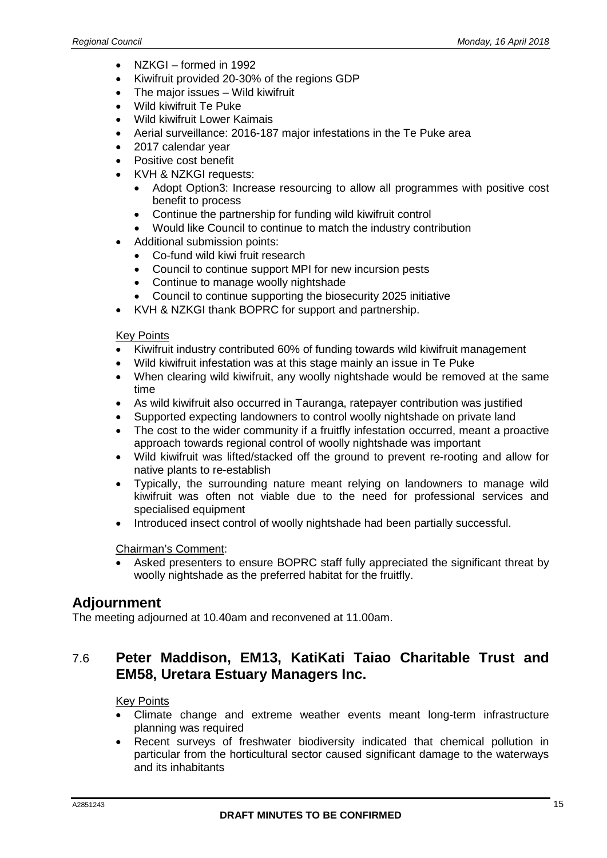- NZKGI formed in 1992
- Kiwifruit provided 20-30% of the regions GDP
- The major issues Wild kiwifruit
- Wild kiwifruit Te Puke
- Wild kiwifruit Lower Kaimais
- Aerial surveillance: 2016-187 major infestations in the Te Puke area
- 2017 calendar year
- Positive cost benefit
- KVH & NZKGI requests:
	- Adopt Option3: Increase resourcing to allow all programmes with positive cost benefit to process
	- Continue the partnership for funding wild kiwifruit control
	- Would like Council to continue to match the industry contribution
- Additional submission points:
	- Co-fund wild kiwi fruit research
	- Council to continue support MPI for new incursion pests
	- Continue to manage woolly nightshade
	- Council to continue supporting the biosecurity 2025 initiative
- KVH & NZKGI thank BOPRC for support and partnership.

#### Key Points

- Kiwifruit industry contributed 60% of funding towards wild kiwifruit management
- Wild kiwifruit infestation was at this stage mainly an issue in Te Puke
- When clearing wild kiwifruit, any woolly nightshade would be removed at the same time
- As wild kiwifruit also occurred in Tauranga, ratepayer contribution was justified
- Supported expecting landowners to control woolly nightshade on private land
- The cost to the wider community if a fruitfly infestation occurred, meant a proactive approach towards regional control of woolly nightshade was important
- Wild kiwifruit was lifted/stacked off the ground to prevent re-rooting and allow for native plants to re-establish
- Typically, the surrounding nature meant relying on landowners to manage wild kiwifruit was often not viable due to the need for professional services and specialised equipment
- Introduced insect control of woolly nightshade had been partially successful.

Chairman's Comment:

Asked presenters to ensure BOPRC staff fully appreciated the significant threat by woolly nightshade as the preferred habitat for the fruitfly.

# **Adjournment**

The meeting adjourned at 10.40am and reconvened at 11.00am.

# 7.6 **Peter Maddison, EM13, KatiKati Taiao Charitable Trust and EM58, Uretara Estuary Managers Inc.**

- Climate change and extreme weather events meant long-term infrastructure planning was required
- Recent surveys of freshwater biodiversity indicated that chemical pollution in particular from the horticultural sector caused significant damage to the waterways and its inhabitants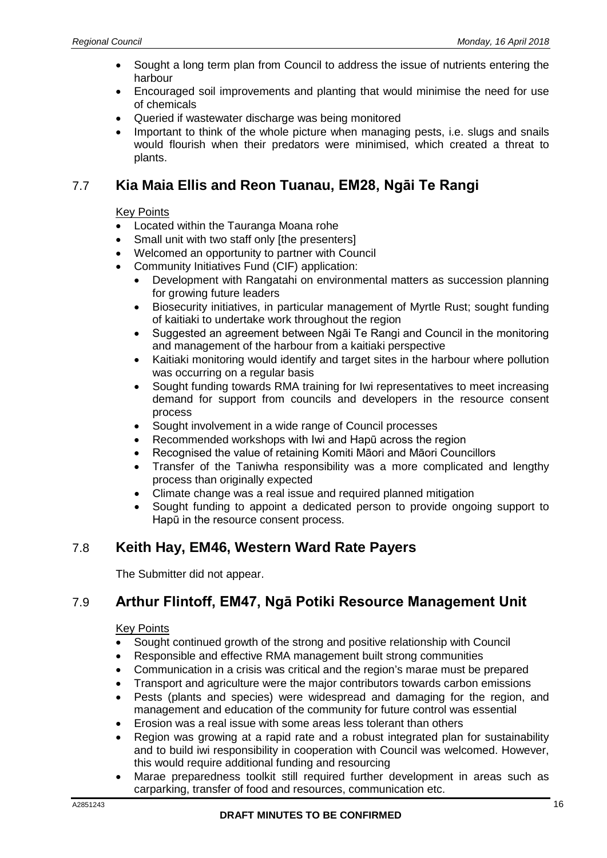- Sought a long term plan from Council to address the issue of nutrients entering the harbour
- Encouraged soil improvements and planting that would minimise the need for use of chemicals
- Queried if wastewater discharge was being monitored
- Important to think of the whole picture when managing pests, i.e. slugs and snails would flourish when their predators were minimised, which created a threat to plants.

# 7.7 **Kia Maia Ellis and Reon Tuanau, EM28, Ngāi Te Rangi**

#### Key Points

- Located within the Tauranga Moana rohe
- Small unit with two staff only [the presenters]
- Welcomed an opportunity to partner with Council
- Community Initiatives Fund (CIF) application:
	- Development with Rangatahi on environmental matters as succession planning for growing future leaders
	- Biosecurity initiatives, in particular management of Myrtle Rust; sought funding of kaitiaki to undertake work throughout the region
	- Suggested an agreement between Ngāi Te Rangi and Council in the monitoring and management of the harbour from a kaitiaki perspective
	- Kaitiaki monitoring would identify and target sites in the harbour where pollution was occurring on a regular basis
	- Sought funding towards RMA training for Iwi representatives to meet increasing demand for support from councils and developers in the resource consent process
	- Sought involvement in a wide range of Council processes
	- Recommended workshops with Iwi and Hapū across the region
	- Recognised the value of retaining Komiti Māori and Māori Councillors
	- Transfer of the Taniwha responsibility was a more complicated and lengthy process than originally expected
	- Climate change was a real issue and required planned mitigation
	- Sought funding to appoint a dedicated person to provide ongoing support to Hapū in the resource consent process.

# 7.8 **Keith Hay, EM46, Western Ward Rate Payers**

The Submitter did not appear.

# 7.9 **Arthur Flintoff, EM47, Ngā Potiki Resource Management Unit**

- Sought continued growth of the strong and positive relationship with Council
- Responsible and effective RMA management built strong communities
- Communication in a crisis was critical and the region's marae must be prepared
- Transport and agriculture were the major contributors towards carbon emissions
- Pests (plants and species) were widespread and damaging for the region, and management and education of the community for future control was essential
- Erosion was a real issue with some areas less tolerant than others
- Region was growing at a rapid rate and a robust integrated plan for sustainability and to build iwi responsibility in cooperation with Council was welcomed. However, this would require additional funding and resourcing
- Marae preparedness toolkit still required further development in areas such as carparking, transfer of food and resources, communication etc.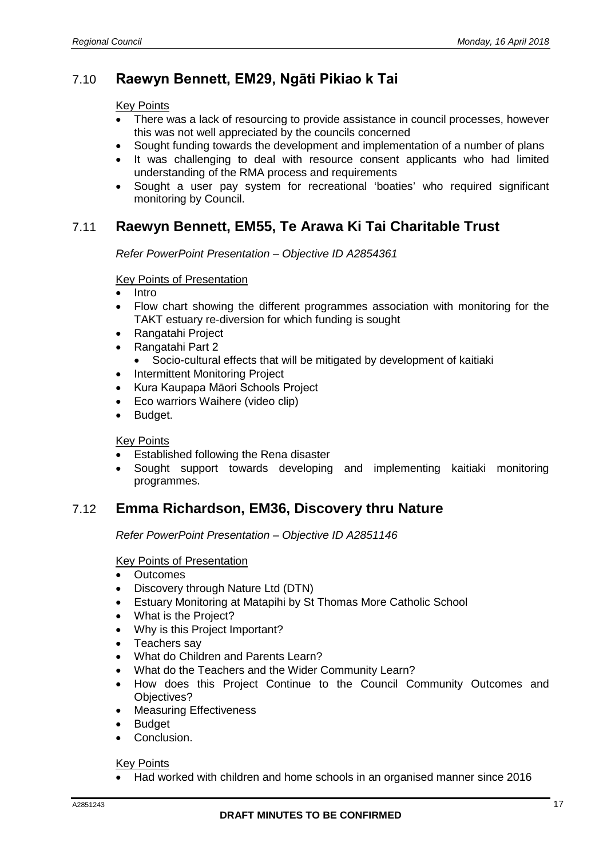# 7.10 **Raewyn Bennett, EM29, Ngāti Pikiao k Tai**

#### Key Points

- There was a lack of resourcing to provide assistance in council processes, however this was not well appreciated by the councils concerned
- Sought funding towards the development and implementation of a number of plans
- It was challenging to deal with resource consent applicants who had limited understanding of the RMA process and requirements
- Sought a user pay system for recreational 'boaties' who required significant monitoring by Council.

# 7.11 **Raewyn Bennett, EM55, Te Arawa Ki Tai Charitable Trust**

*Refer PowerPoint Presentation – Objective ID A2854361*

#### Key Points of Presentation

- Intro
- Flow chart showing the different programmes association with monitoring for the TAKT estuary re-diversion for which funding is sought
- Rangatahi Project
- Rangatahi Part 2
	- Socio-cultural effects that will be mitigated by development of kaitiaki
- Intermittent Monitoring Project
- Kura Kaupapa Māori Schools Project
- Eco warriors Waihere (video clip)
- Budget.

#### Key Points

- Established following the Rena disaster
- Sought support towards developing and implementing kaitiaki monitoring programmes.

### 7.12 **Emma Richardson, EM36, Discovery thru Nature**

*Refer PowerPoint Presentation – Objective ID A2851146*

#### **Key Points of Presentation**

- **Outcomes**
- Discovery through Nature Ltd (DTN)
- Estuary Monitoring at Matapihi by St Thomas More Catholic School
- What is the Project?
- Why is this Project Important?
- Teachers say
- What do Children and Parents Learn?
- What do the Teachers and the Wider Community Learn?
- How does this Project Continue to the Council Community Outcomes and Objectives?
- Measuring Effectiveness
- **Budget**
- Conclusion.

#### Key Points

• Had worked with children and home schools in an organised manner since 2016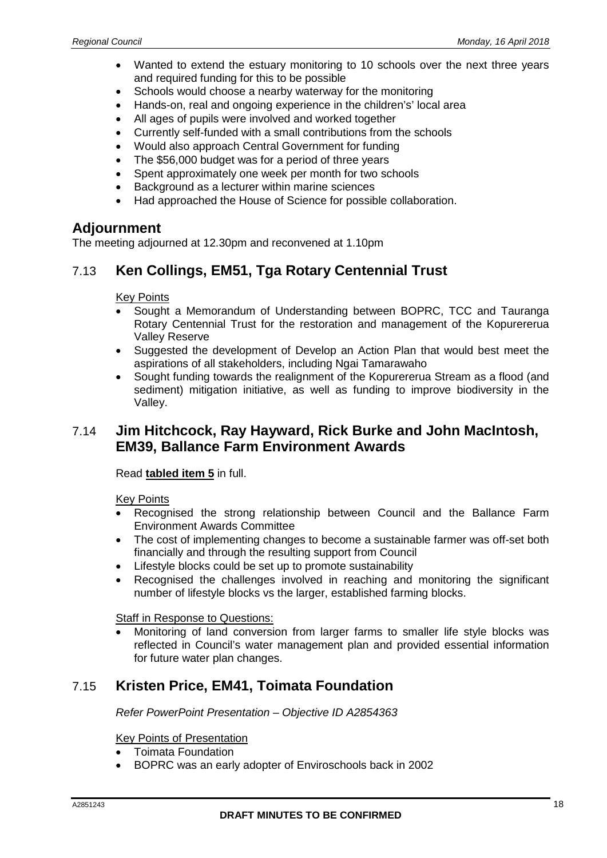- Wanted to extend the estuary monitoring to 10 schools over the next three years and required funding for this to be possible
- Schools would choose a nearby waterway for the monitoring
- Hands-on, real and ongoing experience in the children's' local area
- All ages of pupils were involved and worked together
- Currently self-funded with a small contributions from the schools
- Would also approach Central Government for funding
- The \$56,000 budget was for a period of three years
- Spent approximately one week per month for two schools
- Background as a lecturer within marine sciences
- Had approached the House of Science for possible collaboration.

### **Adjournment**

The meeting adjourned at 12.30pm and reconvened at 1.10pm

# 7.13 **Ken Collings, EM51, Tga Rotary Centennial Trust**

#### Key Points

- Sought a Memorandum of Understanding between BOPRC, TCC and Tauranga Rotary Centennial Trust for the restoration and management of the Kopurererua Valley Reserve
- Suggested the development of Develop an Action Plan that would best meet the aspirations of all stakeholders, including Ngai Tamarawaho
- Sought funding towards the realignment of the Kopurererua Stream as a flood (and sediment) mitigation initiative, as well as funding to improve biodiversity in the Valley.

### 7.14 **Jim Hitchcock, Ray Hayward, Rick Burke and John MacIntosh, EM39, Ballance Farm Environment Awards**

Read **tabled item 5** in full.

#### Key Points

- Recognised the strong relationship between Council and the Ballance Farm Environment Awards Committee
- The cost of implementing changes to become a sustainable farmer was off-set both financially and through the resulting support from Council
- Lifestyle blocks could be set up to promote sustainability
- Recognised the challenges involved in reaching and monitoring the significant number of lifestyle blocks vs the larger, established farming blocks.

Staff in Response to Questions:

• Monitoring of land conversion from larger farms to smaller life style blocks was reflected in Council's water management plan and provided essential information for future water plan changes.

# 7.15 **Kristen Price, EM41, Toimata Foundation**

*Refer PowerPoint Presentation – Objective ID A2854363*

#### Key Points of Presentation

- Toimata Foundation
- BOPRC was an early adopter of Enviroschools back in 2002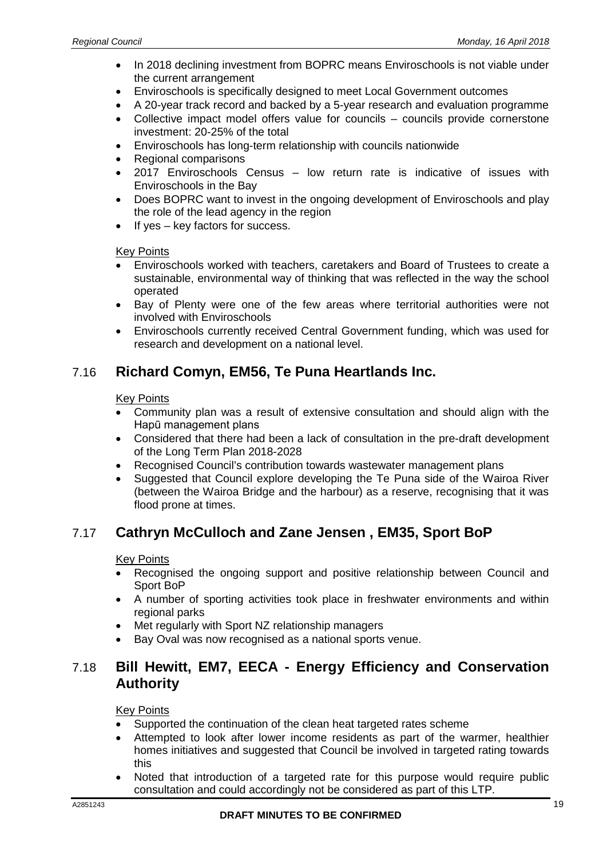- In 2018 declining investment from BOPRC means Enviroschools is not viable under the current arrangement
- Enviroschools is specifically designed to meet Local Government outcomes
- A 20-year track record and backed by a 5-year research and evaluation programme
- Collective impact model offers value for councils councils provide cornerstone investment: 20-25% of the total
- Enviroschools has long-term relationship with councils nationwide
- Regional comparisons
- 2017 Enviroschools Census low return rate is indicative of issues with Enviroschools in the Bay
- Does BOPRC want to invest in the ongoing development of Enviroschools and play the role of the lead agency in the region
- If yes  $-$  key factors for success.

#### Key Points

- Enviroschools worked with teachers, caretakers and Board of Trustees to create a sustainable, environmental way of thinking that was reflected in the way the school operated
- Bay of Plenty were one of the few areas where territorial authorities were not involved with Enviroschools
- Enviroschools currently received Central Government funding, which was used for research and development on a national level.

# 7.16 **Richard Comyn, EM56, Te Puna Heartlands Inc.**

#### Key Points

- Community plan was a result of extensive consultation and should align with the Hapū management plans
- Considered that there had been a lack of consultation in the pre-draft development of the Long Term Plan 2018-2028
- Recognised Council's contribution towards wastewater management plans
- Suggested that Council explore developing the Te Puna side of the Wairoa River (between the Wairoa Bridge and the harbour) as a reserve, recognising that it was flood prone at times.

# 7.17 **Cathryn McCulloch and Zane Jensen , EM35, Sport BoP**

#### Key Points

- Recognised the ongoing support and positive relationship between Council and Sport BoP
- A number of sporting activities took place in freshwater environments and within regional parks
- Met regularly with Sport NZ relationship managers
- Bay Oval was now recognised as a national sports venue.

### 7.18 **Bill Hewitt, EM7, EECA - Energy Efficiency and Conservation Authority**

- Supported the continuation of the clean heat targeted rates scheme
- Attempted to look after lower income residents as part of the warmer, healthier homes initiatives and suggested that Council be involved in targeted rating towards this
- Noted that introduction of a targeted rate for this purpose would require public consultation and could accordingly not be considered as part of this LTP.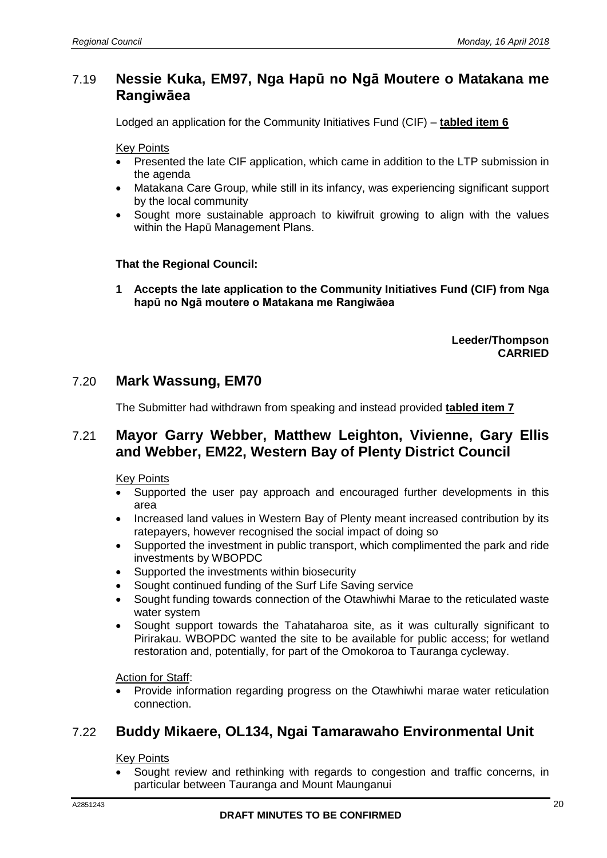## 7.19 **Nessie Kuka, EM97, Nga Hapū no Ngā Moutere o Matakana me Rangiwāea**

Lodged an application for the Community Initiatives Fund (CIF) – **tabled item 6**

Key Points

- Presented the late CIF application, which came in addition to the LTP submission in the agenda
- Matakana Care Group, while still in its infancy, was experiencing significant support by the local community
- Sought more sustainable approach to kiwifruit growing to align with the values within the Hapū Management Plans.

**That the Regional Council:**

**1 Accepts the late application to the Community Initiatives Fund (CIF) from Nga hapū no Ngā moutere o Matakana me Rangiwāea**

> **Leeder/Thompson CARRIED**

### 7.20 **Mark Wassung, EM70**

The Submitter had withdrawn from speaking and instead provided **tabled item 7**

# 7.21 **Mayor Garry Webber, Matthew Leighton, Vivienne, Gary Ellis and Webber, EM22, Western Bay of Plenty District Council**

Key Points

- Supported the user pay approach and encouraged further developments in this area
- Increased land values in Western Bay of Plenty meant increased contribution by its ratepayers, however recognised the social impact of doing so
- Supported the investment in public transport, which complimented the park and ride investments by WBOPDC
- Supported the investments within biosecurity
- Sought continued funding of the Surf Life Saving service
- Sought funding towards connection of the Otawhiwhi Marae to the reticulated waste water system
- Sought support towards the Tahataharoa site, as it was culturally significant to Pirirakau. WBOPDC wanted the site to be available for public access; for wetland restoration and, potentially, for part of the Omokoroa to Tauranga cycleway.

Action for Staff:

• Provide information regarding progress on the Otawhiwhi marae water reticulation connection.

# 7.22 **Buddy Mikaere, OL134, Ngai Tamarawaho Environmental Unit**

Key Points

• Sought review and rethinking with regards to congestion and traffic concerns, in particular between Tauranga and Mount Maunganui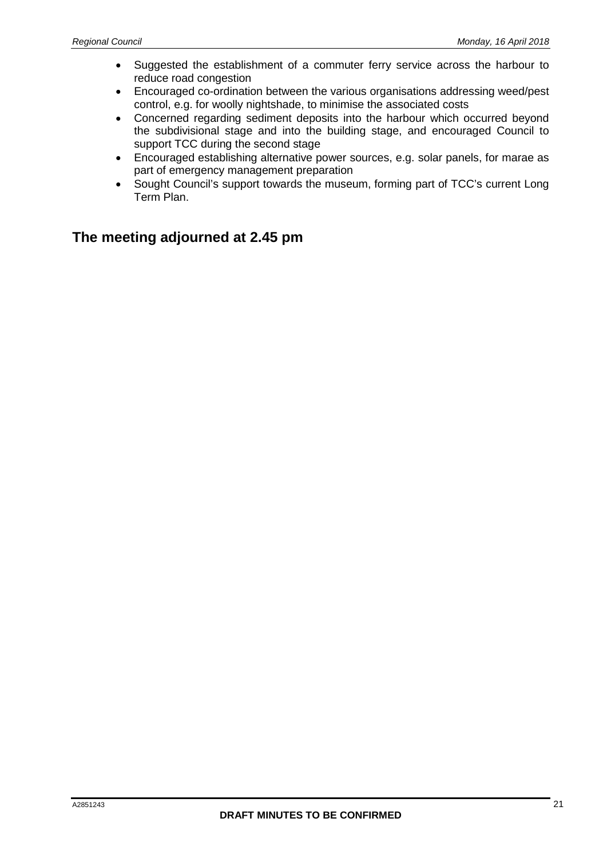- Suggested the establishment of a commuter ferry service across the harbour to reduce road congestion
- Encouraged co-ordination between the various organisations addressing weed/pest control, e.g. for woolly nightshade, to minimise the associated costs
- Concerned regarding sediment deposits into the harbour which occurred beyond the subdivisional stage and into the building stage, and encouraged Council to support TCC during the second stage
- Encouraged establishing alternative power sources, e.g. solar panels, for marae as part of emergency management preparation
- Sought Council's support towards the museum, forming part of TCC's current Long Term Plan.

# **The meeting adjourned at 2.45 pm**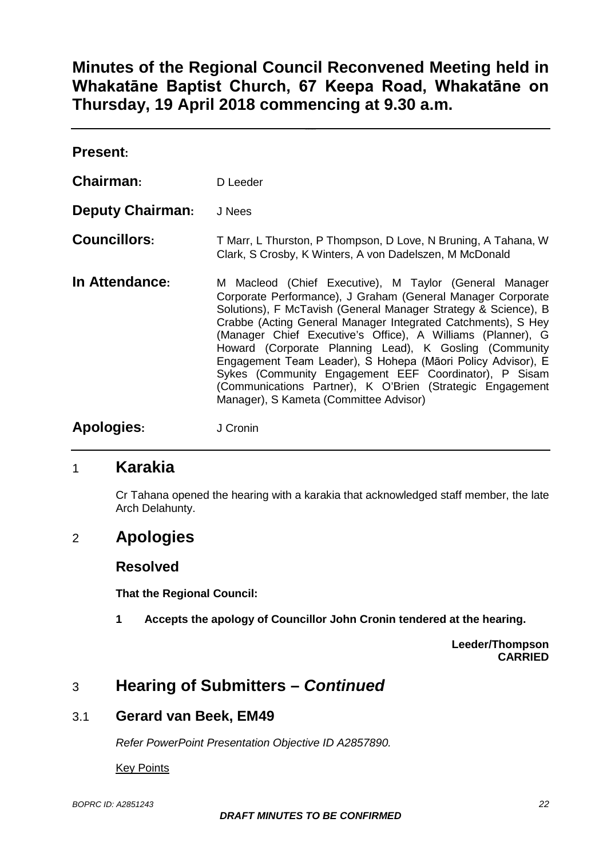# **Minutes of the Regional Council Reconvened Meeting held in Whakatāne Baptist Church, 67 Keepa Road, Whakatāne on Thursday, 19 April 2018 commencing at 9.30 a.m.**

| <b>Present:</b>         |                                                                                                                                                                                                                                                                                                                                                                                                                                                                                                                                                                                                                 |
|-------------------------|-----------------------------------------------------------------------------------------------------------------------------------------------------------------------------------------------------------------------------------------------------------------------------------------------------------------------------------------------------------------------------------------------------------------------------------------------------------------------------------------------------------------------------------------------------------------------------------------------------------------|
| Chairman:               | D Leeder                                                                                                                                                                                                                                                                                                                                                                                                                                                                                                                                                                                                        |
| <b>Deputy Chairman:</b> | J Nees                                                                                                                                                                                                                                                                                                                                                                                                                                                                                                                                                                                                          |
| <b>Councillors:</b>     | T Marr, L Thurston, P Thompson, D Love, N Bruning, A Tahana, W<br>Clark, S Crosby, K Winters, A von Dadelszen, M McDonald                                                                                                                                                                                                                                                                                                                                                                                                                                                                                       |
| In Attendance:          | M Macleod (Chief Executive), M Taylor (General Manager<br>Corporate Performance), J Graham (General Manager Corporate<br>Solutions), F McTavish (General Manager Strategy & Science), B<br>Crabbe (Acting General Manager Integrated Catchments), S Hey<br>(Manager Chief Executive's Office), A Williams (Planner), G<br>Howard (Corporate Planning Lead), K Gosling (Community<br>Engagement Team Leader), S Hohepa (Māori Policy Advisor), E<br>Sykes (Community Engagement EEF Coordinator), P Sisam<br>(Communications Partner), K O'Brien (Strategic Engagement<br>Manager), S Kameta (Committee Advisor) |
| <b>Apologies:</b>       | J Cronin                                                                                                                                                                                                                                                                                                                                                                                                                                                                                                                                                                                                        |

# 1 **Karakia**

Cr Tahana opened the hearing with a karakia that acknowledged staff member, the late Arch Delahunty.

# 2 **Apologies**

# **Resolved**

**That the Regional Council:**

**1 Accepts the apology of Councillor John Cronin tendered at the hearing.**

**Leeder/Thompson CARRIED**

# 3 **Hearing of Submitters –** *Continued*

# 3.1 **Gerard van Beek, EM49**

*Refer PowerPoint Presentation Objective ID A2857890.*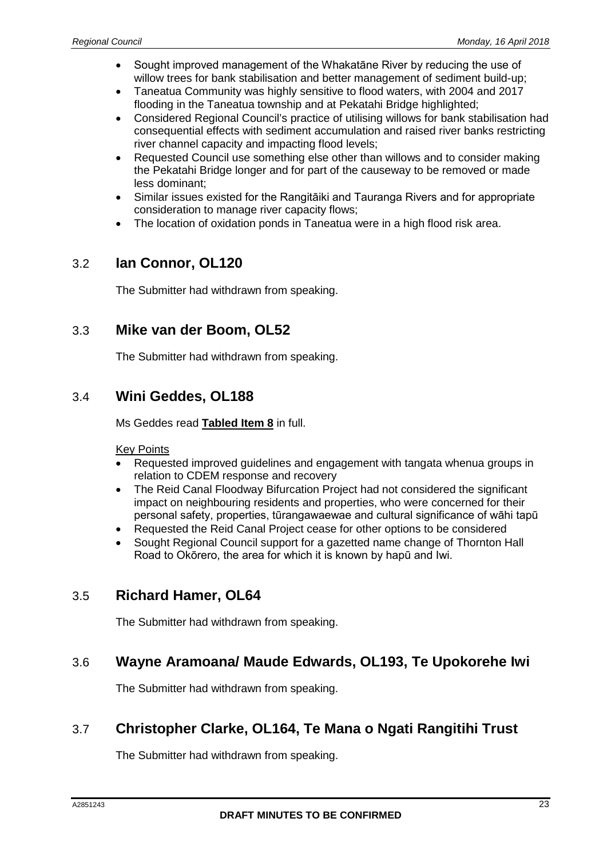- Sought improved management of the Whakatāne River by reducing the use of willow trees for bank stabilisation and better management of sediment build-up;
- Taneatua Community was highly sensitive to flood waters, with 2004 and 2017 flooding in the Taneatua township and at Pekatahi Bridge highlighted;
- Considered Regional Council's practice of utilising willows for bank stabilisation had consequential effects with sediment accumulation and raised river banks restricting river channel capacity and impacting flood levels;
- Requested Council use something else other than willows and to consider making the Pekatahi Bridge longer and for part of the causeway to be removed or made less dominant;
- Similar issues existed for the Rangitāiki and Tauranga Rivers and for appropriate consideration to manage river capacity flows;
- The location of oxidation ponds in Taneatua were in a high flood risk area.

# 3.2 **Ian Connor, OL120**

The Submitter had withdrawn from speaking.

### 3.3 **Mike van der Boom, OL52**

The Submitter had withdrawn from speaking.

# 3.4 **Wini Geddes, OL188**

Ms Geddes read **Tabled Item 8** in full.

#### Key Points

- Requested improved guidelines and engagement with tangata whenua groups in relation to CDEM response and recovery
- The Reid Canal Floodway Bifurcation Project had not considered the significant impact on neighbouring residents and properties, who were concerned for their personal safety, properties, tūrangawaewae and cultural significance of wāhi tapū
- Requested the Reid Canal Project cease for other options to be considered
- Sought Regional Council support for a gazetted name change of Thornton Hall Road to Okōrero, the area for which it is known by hapū and Iwi.

# 3.5 **Richard Hamer, OL64**

The Submitter had withdrawn from speaking.

### 3.6 **Wayne Aramoana/ Maude Edwards, OL193, Te Upokorehe Iwi**

The Submitter had withdrawn from speaking.

# 3.7 **Christopher Clarke, OL164, Te Mana o Ngati Rangitihi Trust**

The Submitter had withdrawn from speaking.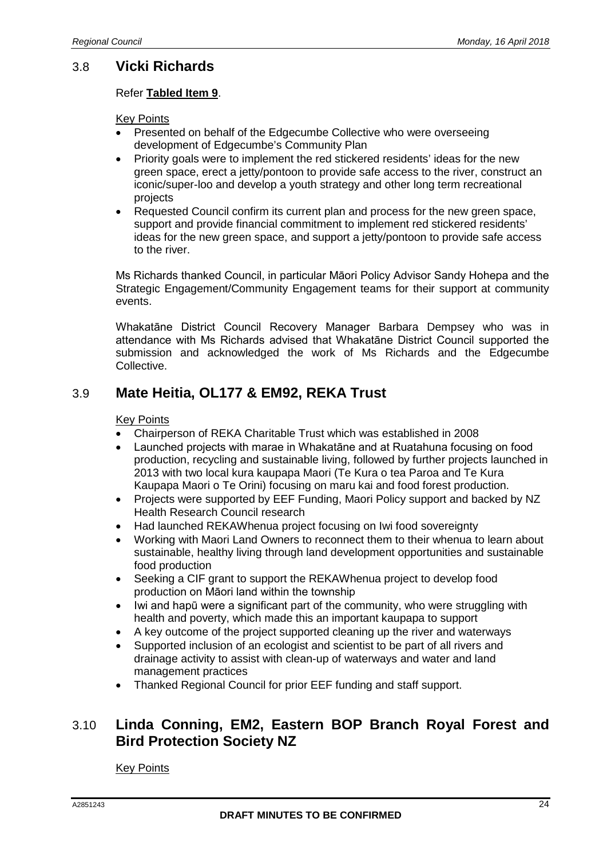## 3.8 **Vicki Richards**

#### Refer **Tabled Item 9**.

#### Key Points

- Presented on behalf of the Edgecumbe Collective who were overseeing development of Edgecumbe's Community Plan
- Priority goals were to implement the red stickered residents' ideas for the new green space, erect a jetty/pontoon to provide safe access to the river, construct an iconic/super-loo and develop a youth strategy and other long term recreational projects
- Requested Council confirm its current plan and process for the new green space, support and provide financial commitment to implement red stickered residents' ideas for the new green space, and support a jetty/pontoon to provide safe access to the river.

Ms Richards thanked Council, in particular Māori Policy Advisor Sandy Hohepa and the Strategic Engagement/Community Engagement teams for their support at community events.

Whakatāne District Council Recovery Manager Barbara Dempsey who was in attendance with Ms Richards advised that Whakatāne District Council supported the submission and acknowledged the work of Ms Richards and the Edgecumbe Collective.

### 3.9 **Mate Heitia, OL177 & EM92, REKA Trust**

#### Key Points

- Chairperson of REKA Charitable Trust which was established in 2008
- Launched projects with marae in Whakatāne and at Ruatahuna focusing on food production, recycling and sustainable living, followed by further projects launched in 2013 with two local kura kaupapa Maori (Te Kura o tea Paroa and Te Kura Kaupapa Maori o Te Orini) focusing on maru kai and food forest production.
- Projects were supported by EEF Funding, Maori Policy support and backed by NZ Health Research Council research
- Had launched REKAWhenua project focusing on Iwi food sovereignty
- Working with Maori Land Owners to reconnect them to their whenua to learn about sustainable, healthy living through land development opportunities and sustainable food production
- Seeking a CIF grant to support the REKAWhenua project to develop food production on Māori land within the township
- Iwi and hapū were a significant part of the community, who were struggling with health and poverty, which made this an important kaupapa to support
- A key outcome of the project supported cleaning up the river and waterways
- Supported inclusion of an ecologist and scientist to be part of all rivers and drainage activity to assist with clean-up of waterways and water and land management practices
- Thanked Regional Council for prior EEF funding and staff support.

# 3.10 **Linda Conning, EM2, Eastern BOP Branch Royal Forest and Bird Protection Society NZ**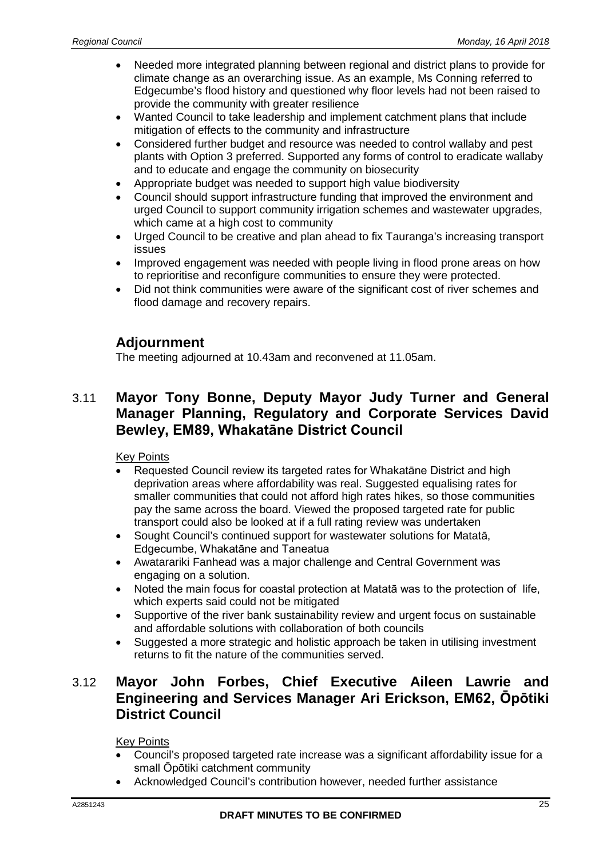- Needed more integrated planning between regional and district plans to provide for climate change as an overarching issue. As an example, Ms Conning referred to Edgecumbe's flood history and questioned why floor levels had not been raised to provide the community with greater resilience
- Wanted Council to take leadership and implement catchment plans that include mitigation of effects to the community and infrastructure
- Considered further budget and resource was needed to control wallaby and pest plants with Option 3 preferred. Supported any forms of control to eradicate wallaby and to educate and engage the community on biosecurity
- Appropriate budget was needed to support high value biodiversity
- Council should support infrastructure funding that improved the environment and urged Council to support community irrigation schemes and wastewater upgrades, which came at a high cost to community
- Urged Council to be creative and plan ahead to fix Tauranga's increasing transport issues
- Improved engagement was needed with people living in flood prone areas on how to reprioritise and reconfigure communities to ensure they were protected.
- Did not think communities were aware of the significant cost of river schemes and flood damage and recovery repairs.

# **Adjournment**

The meeting adjourned at 10.43am and reconvened at 11.05am.

# 3.11 **Mayor Tony Bonne, Deputy Mayor Judy Turner and General Manager Planning, Regulatory and Corporate Services David Bewley, EM89, Whakatāne District Council**

Key Points

- Requested Council review its targeted rates for Whakatāne District and high deprivation areas where affordability was real. Suggested equalising rates for smaller communities that could not afford high rates hikes, so those communities pay the same across the board. Viewed the proposed targeted rate for public transport could also be looked at if a full rating review was undertaken
- Sought Council's continued support for wastewater solutions for Matatā, Edgecumbe, Whakatāne and Taneatua
- Awatarariki Fanhead was a major challenge and Central Government was engaging on a solution.
- Noted the main focus for coastal protection at Matatā was to the protection of life, which experts said could not be mitigated
- Supportive of the river bank sustainability review and urgent focus on sustainable and affordable solutions with collaboration of both councils
- Suggested a more strategic and holistic approach be taken in utilising investment returns to fit the nature of the communities served.

# 3.12 **Mayor John Forbes, Chief Executive Aileen Lawrie and Engineering and Services Manager Ari Erickson, EM62, Ōpōtiki District Council**

- Council's proposed targeted rate increase was a significant affordability issue for a small Ōpōtiki catchment community
- Acknowledged Council's contribution however, needed further assistance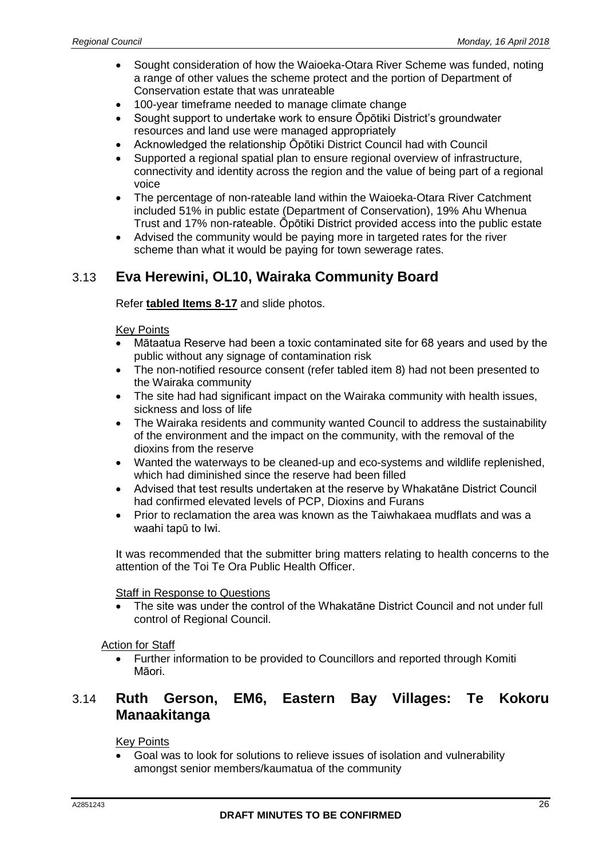- Sought consideration of how the Waioeka-Otara River Scheme was funded, noting a range of other values the scheme protect and the portion of Department of Conservation estate that was unrateable
- 100-year timeframe needed to manage climate change
- Sought support to undertake work to ensure Ōpōtiki District's groundwater resources and land use were managed appropriately
- Acknowledged the relationship Ōpōtiki District Council had with Council
- Supported a regional spatial plan to ensure regional overview of infrastructure, connectivity and identity across the region and the value of being part of a regional voice
- The percentage of non-rateable land within the Waioeka-Otara River Catchment included 51% in public estate (Department of Conservation), 19% Ahu Whenua Trust and 17% non-rateable. Ōpōtiki District provided access into the public estate
- Advised the community would be paying more in targeted rates for the river scheme than what it would be paying for town sewerage rates.

# 3.13 **Eva Herewini, OL10, Wairaka Community Board**

Refer **tabled Items 8-17** and slide photos.

#### Key Points

- Mātaatua Reserve had been a toxic contaminated site for 68 years and used by the public without any signage of contamination risk
- The non-notified resource consent (refer tabled item 8) had not been presented to the Wairaka community
- The site had had significant impact on the Wairaka community with health issues, sickness and loss of life
- The Wairaka residents and community wanted Council to address the sustainability of the environment and the impact on the community, with the removal of the dioxins from the reserve
- Wanted the waterways to be cleaned-up and eco-systems and wildlife replenished, which had diminished since the reserve had been filled
- Advised that test results undertaken at the reserve by Whakatāne District Council had confirmed elevated levels of PCP, Dioxins and Furans
- Prior to reclamation the area was known as the Taiwhakaea mudflats and was a waahi tapū to Iwi.

It was recommended that the submitter bring matters relating to health concerns to the attention of the Toi Te Ora Public Health Officer.

#### Staff in Response to Questions

• The site was under the control of the Whakatāne District Council and not under full control of Regional Council.

#### Action for Staff

• Further information to be provided to Councillors and reported through Komiti Māori.

# 3.14 **Ruth Gerson, EM6, Eastern Bay Villages: Te Kokoru Manaakitanga**

#### Key Points

• Goal was to look for solutions to relieve issues of isolation and vulnerability amongst senior members/kaumatua of the community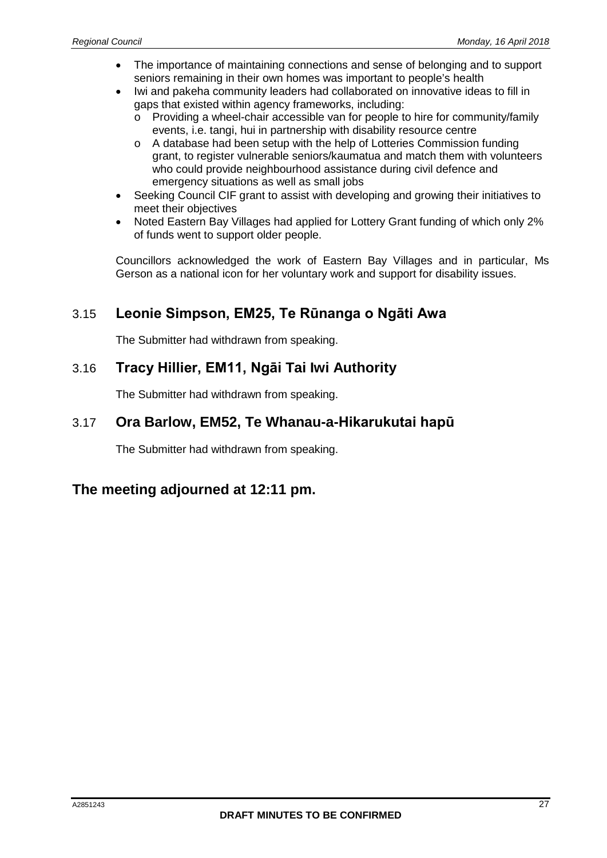- The importance of maintaining connections and sense of belonging and to support seniors remaining in their own homes was important to people's health
- Iwi and pakeha community leaders had collaborated on innovative ideas to fill in gaps that existed within agency frameworks, including:
	- $\circ$  Providing a wheel-chair accessible van for people to hire for community/family events, i.e. tangi, hui in partnership with disability resource centre
	- o A database had been setup with the help of Lotteries Commission funding grant, to register vulnerable seniors/kaumatua and match them with volunteers who could provide neighbourhood assistance during civil defence and emergency situations as well as small jobs
- Seeking Council CIF grant to assist with developing and growing their initiatives to meet their objectives
- Noted Eastern Bay Villages had applied for Lottery Grant funding of which only 2% of funds went to support older people.

Councillors acknowledged the work of Eastern Bay Villages and in particular, Ms Gerson as a national icon for her voluntary work and support for disability issues.

# 3.15 **Leonie Simpson, EM25, Te Rūnanga o Ngāti Awa**

The Submitter had withdrawn from speaking.

# 3.16 **Tracy Hillier, EM11, Ngāi Tai Iwi Authority**

The Submitter had withdrawn from speaking.

# 3.17 **Ora Barlow, EM52, Te Whanau-a-Hikarukutai hapū**

The Submitter had withdrawn from speaking.

# **The meeting adjourned at 12:11 pm.**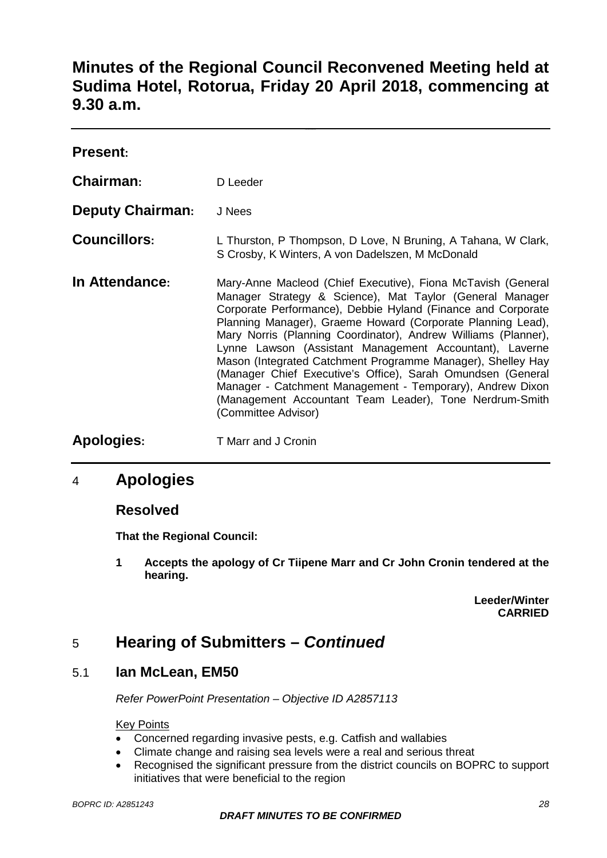# **Minutes of the Regional Council Reconvened Meeting held at Sudima Hotel, Rotorua, Friday 20 April 2018, commencing at 9.30 a.m.**

| <b>Present:</b>         |                                                                                                                                                                                                                                                                                                                                                                                                                                                                                                                                                                                                                                                                   |
|-------------------------|-------------------------------------------------------------------------------------------------------------------------------------------------------------------------------------------------------------------------------------------------------------------------------------------------------------------------------------------------------------------------------------------------------------------------------------------------------------------------------------------------------------------------------------------------------------------------------------------------------------------------------------------------------------------|
| Chairman:               | D Leeder                                                                                                                                                                                                                                                                                                                                                                                                                                                                                                                                                                                                                                                          |
| <b>Deputy Chairman:</b> | J Nees                                                                                                                                                                                                                                                                                                                                                                                                                                                                                                                                                                                                                                                            |
| <b>Councillors:</b>     | L Thurston, P Thompson, D Love, N Bruning, A Tahana, W Clark,<br>S Crosby, K Winters, A von Dadelszen, M McDonald                                                                                                                                                                                                                                                                                                                                                                                                                                                                                                                                                 |
| In Attendance:          | Mary-Anne Macleod (Chief Executive), Fiona McTavish (General<br>Manager Strategy & Science), Mat Taylor (General Manager<br>Corporate Performance), Debbie Hyland (Finance and Corporate<br>Planning Manager), Graeme Howard (Corporate Planning Lead),<br>Mary Norris (Planning Coordinator), Andrew Williams (Planner),<br>Lynne Lawson (Assistant Management Accountant), Laverne<br>Mason (Integrated Catchment Programme Manager), Shelley Hay<br>(Manager Chief Executive's Office), Sarah Omundsen (General<br>Manager - Catchment Management - Temporary), Andrew Dixon<br>(Management Accountant Team Leader), Tone Nerdrum-Smith<br>(Committee Advisor) |
| Apologies:              | T Marr and J Cronin                                                                                                                                                                                                                                                                                                                                                                                                                                                                                                                                                                                                                                               |

# 4 **Apologies**

### **Resolved**

**That the Regional Council:**

**1 Accepts the apology of Cr Tiipene Marr and Cr John Cronin tendered at the hearing.**

> **Leeder/Winter CARRIED**

# 5 **Hearing of Submitters –** *Continued*

### 5.1 **Ian McLean, EM50**

*Refer PowerPoint Presentation – Objective ID A2857113*

- Concerned regarding invasive pests, e.g. Catfish and wallabies
- Climate change and raising sea levels were a real and serious threat
- Recognised the significant pressure from the district councils on BOPRC to support initiatives that were beneficial to the region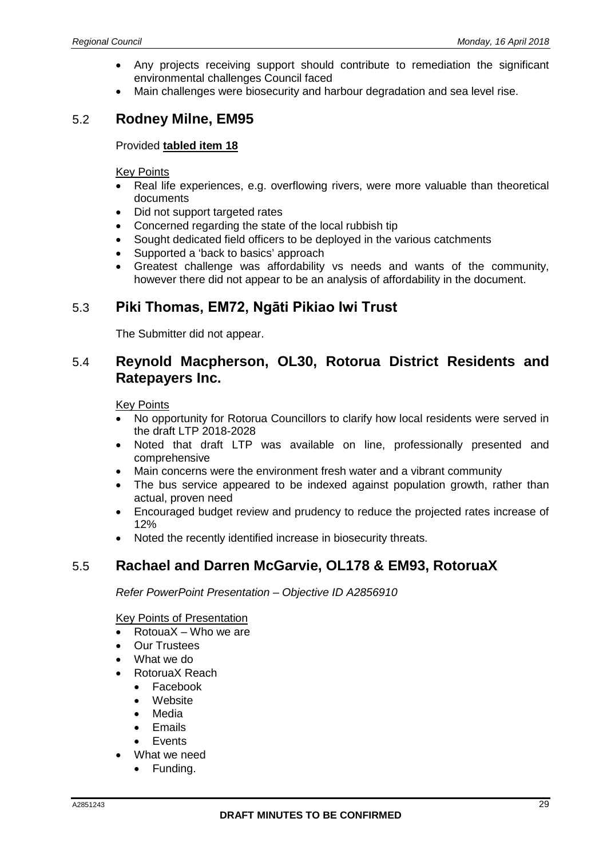- Any projects receiving support should contribute to remediation the significant environmental challenges Council faced
- Main challenges were biosecurity and harbour degradation and sea level rise.

## 5.2 **Rodney Milne, EM95**

#### Provided **tabled item 18**

#### Key Points

- Real life experiences, e.g. overflowing rivers, were more valuable than theoretical documents
- Did not support targeted rates
- Concerned regarding the state of the local rubbish tip
- Sought dedicated field officers to be deployed in the various catchments
- Supported a 'back to basics' approach
- Greatest challenge was affordability vs needs and wants of the community, however there did not appear to be an analysis of affordability in the document.

# 5.3 **Piki Thomas, EM72, Ngāti Pikiao Iwi Trust**

The Submitter did not appear.

## 5.4 **Reynold Macpherson, OL30, Rotorua District Residents and Ratepayers Inc.**

#### **Key Points**

- No opportunity for Rotorua Councillors to clarify how local residents were served in the draft LTP 2018-2028
- Noted that draft LTP was available on line, professionally presented and comprehensive
- Main concerns were the environment fresh water and a vibrant community
- The bus service appeared to be indexed against population growth, rather than actual, proven need
- Encouraged budget review and prudency to reduce the projected rates increase of 12%
- Noted the recently identified increase in biosecurity threats.

# 5.5 **Rachael and Darren McGarvie, OL178 & EM93, RotoruaX**

*Refer PowerPoint Presentation – Objective ID A2856910*

#### Key Points of Presentation

- RotouaX Who we are
- Our Trustees
- What we do
- RotoruaX Reach
	- Facebook
	- **Website**
	- **Media**
	- Emails
	- **Fvents**
- What we need
	- Funding.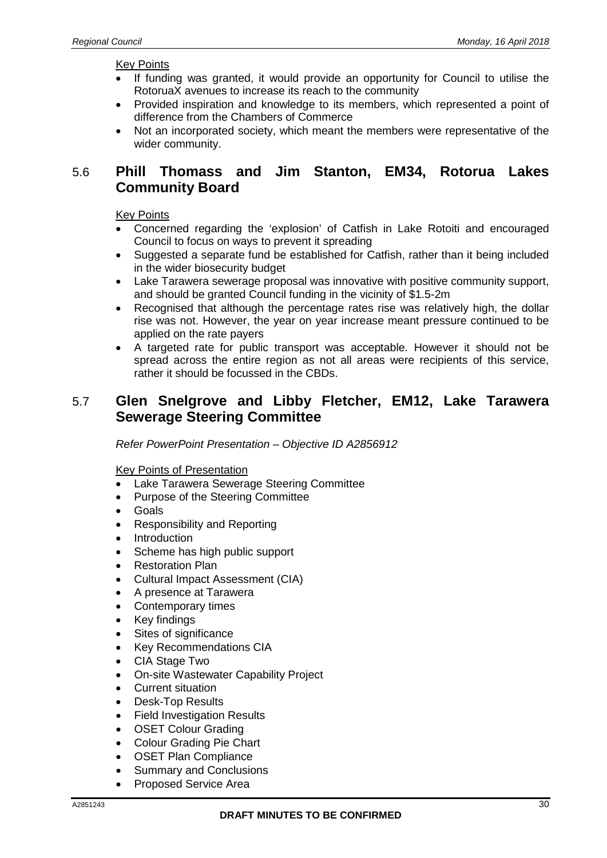#### Key Points

- If funding was granted, it would provide an opportunity for Council to utilise the RotoruaX avenues to increase its reach to the community
- Provided inspiration and knowledge to its members, which represented a point of difference from the Chambers of Commerce
- Not an incorporated society, which meant the members were representative of the wider community.

### 5.6 **Phill Thomass and Jim Stanton, EM34, Rotorua Lakes Community Board**

#### Key Points

- Concerned regarding the 'explosion' of Catfish in Lake Rotoiti and encouraged Council to focus on ways to prevent it spreading
- Suggested a separate fund be established for Catfish, rather than it being included in the wider biosecurity budget
- Lake Tarawera sewerage proposal was innovative with positive community support, and should be granted Council funding in the vicinity of \$1.5-2m
- Recognised that although the percentage rates rise was relatively high, the dollar rise was not. However, the year on year increase meant pressure continued to be applied on the rate payers
- A targeted rate for public transport was acceptable. However it should not be spread across the entire region as not all areas were recipients of this service, rather it should be focussed in the CBDs.

### 5.7 **Glen Snelgrove and Libby Fletcher, EM12, Lake Tarawera Sewerage Steering Committee**

*Refer PowerPoint Presentation – Objective ID A2856912*

#### Key Points of Presentation

- Lake Tarawera Sewerage Steering Committee
- Purpose of the Steering Committee
- Goals
- Responsibility and Reporting
- **Introduction**
- Scheme has high public support
- Restoration Plan
- Cultural Impact Assessment (CIA)
- A presence at Tarawera
- Contemporary times
- Key findings
- Sites of significance
- Key Recommendations CIA
- CIA Stage Two
- On-site Wastewater Capability Project
- Current situation
- Desk-Top Results
- Field Investigation Results
- **OSET Colour Grading**
- Colour Grading Pie Chart
- OSET Plan Compliance
- Summary and Conclusions
- Proposed Service Area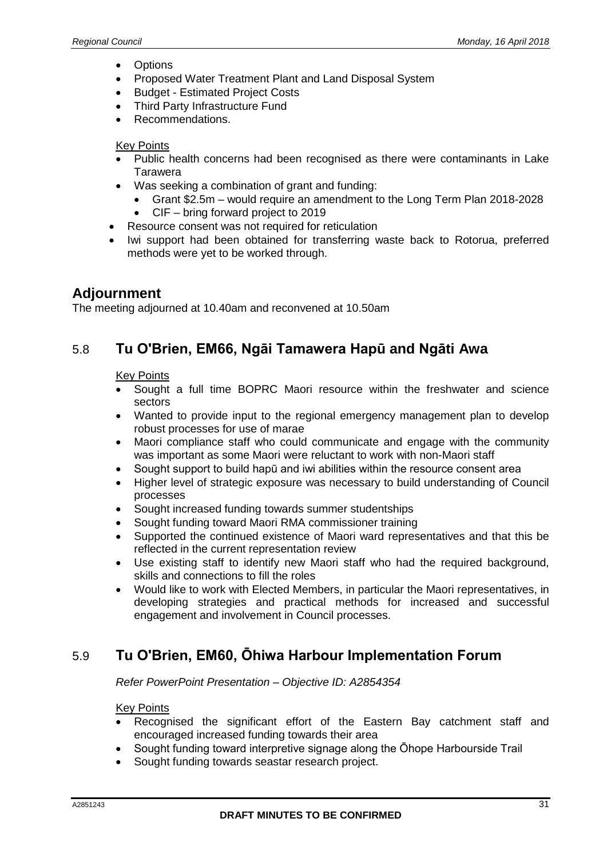- Options
- Proposed Water Treatment Plant and Land Disposal System
- Budget Estimated Project Costs
- Third Party Infrastructure Fund
- Recommendations.

#### Key Points

- Public health concerns had been recognised as there were contaminants in Lake **Tarawera**
- Was seeking a combination of grant and funding:
	- Grant \$2.5m would require an amendment to the Long Term Plan 2018-2028
	- CIF bring forward project to 2019
- Resource consent was not required for reticulation
- Iwi support had been obtained for transferring waste back to Rotorua, preferred methods were yet to be worked through.

# **Adjournment**

The meeting adjourned at 10.40am and reconvened at 10.50am

# 5.8 **Tu O'Brien, EM66, Ngāi Tamawera Hapū and Ngāti Awa**

#### Key Points

- Sought a full time BOPRC Maori resource within the freshwater and science sectors
- Wanted to provide input to the regional emergency management plan to develop robust processes for use of marae
- Maori compliance staff who could communicate and engage with the community was important as some Maori were reluctant to work with non-Maori staff
- Sought support to build hapū and iwi abilities within the resource consent area
- Higher level of strategic exposure was necessary to build understanding of Council processes
- Sought increased funding towards summer studentships
- Sought funding toward Maori RMA commissioner training
- Supported the continued existence of Maori ward representatives and that this be reflected in the current representation review
- Use existing staff to identify new Maori staff who had the required background, skills and connections to fill the roles
- Would like to work with Elected Members, in particular the Maori representatives, in developing strategies and practical methods for increased and successful engagement and involvement in Council processes.

# 5.9 **Tu O'Brien, EM60, Ōhiwa Harbour Implementation Forum**

*Refer PowerPoint Presentation – Objective ID: A2854354*

- Recognised the significant effort of the Eastern Bay catchment staff and encouraged increased funding towards their area
- Sought funding toward interpretive signage along the Ōhope Harbourside Trail
- Sought funding towards seastar research project.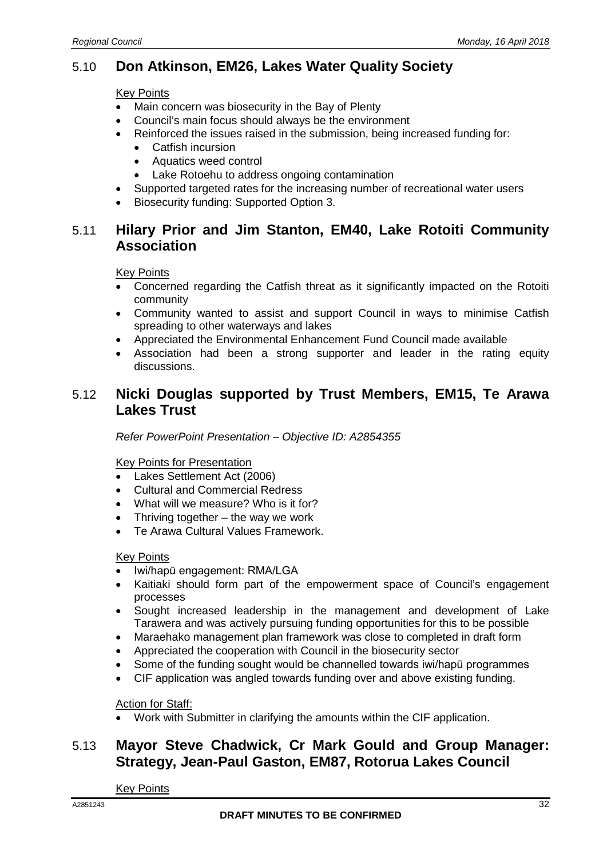# 5.10 **Don Atkinson, EM26, Lakes Water Quality Society**

#### Key Points

- Main concern was biosecurity in the Bay of Plenty
- Council's main focus should always be the environment
- Reinforced the issues raised in the submission, being increased funding for:
	- Catfish incursion
	- Aquatics weed control
	- Lake Rotoehu to address ongoing contamination
- Supported targeted rates for the increasing number of recreational water users
- Biosecurity funding: Supported Option 3.

## 5.11 **Hilary Prior and Jim Stanton, EM40, Lake Rotoiti Community Association**

#### Key Points

- Concerned regarding the Catfish threat as it significantly impacted on the Rotoiti community
- Community wanted to assist and support Council in ways to minimise Catfish spreading to other waterways and lakes
- Appreciated the Environmental Enhancement Fund Council made available
- Association had been a strong supporter and leader in the rating equity discussions.

### 5.12 **Nicki Douglas supported by Trust Members, EM15, Te Arawa Lakes Trust**

*Refer PowerPoint Presentation – Objective ID: A2854355*

#### Key Points for Presentation

- Lakes Settlement Act (2006)
- Cultural and Commercial Redress
- What will we measure? Who is it for?
- Thriving together the way we work
- Te Arawa Cultural Values Framework.

#### Key Points

- Iwi/hapū engagement: RMA/LGA
- Kaitiaki should form part of the empowerment space of Council's engagement processes
- Sought increased leadership in the management and development of Lake Tarawera and was actively pursuing funding opportunities for this to be possible
- Maraehako management plan framework was close to completed in draft form
- Appreciated the cooperation with Council in the biosecurity sector
- Some of the funding sought would be channelled towards iwi/hapū programmes
- CIF application was angled towards funding over and above existing funding.

#### Action for Staff:

• Work with Submitter in clarifying the amounts within the CIF application.

# 5.13 **Mayor Steve Chadwick, Cr Mark Gould and Group Manager: Strategy, Jean-Paul Gaston, EM87, Rotorua Lakes Council**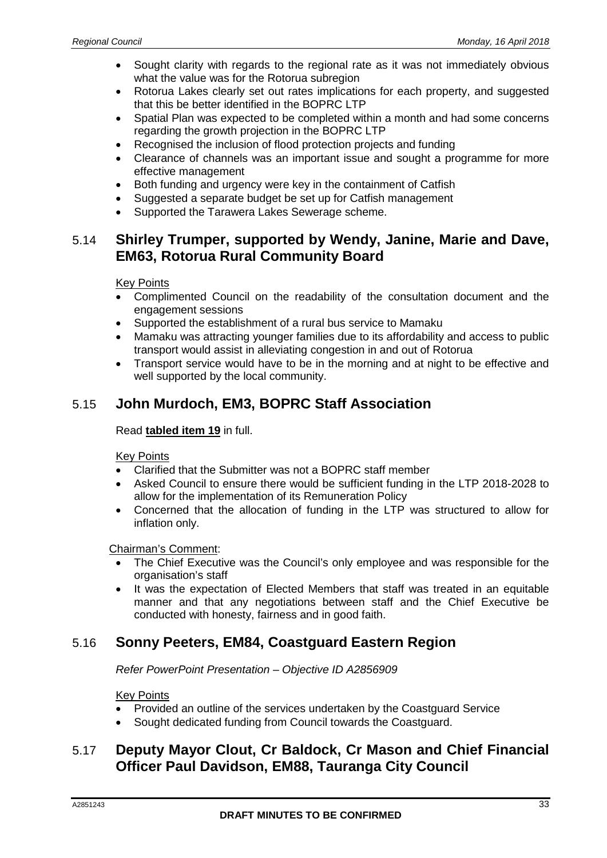- Sought clarity with regards to the regional rate as it was not immediately obvious what the value was for the Rotorua subregion
- Rotorua Lakes clearly set out rates implications for each property, and suggested that this be better identified in the BOPRC LTP
- Spatial Plan was expected to be completed within a month and had some concerns regarding the growth projection in the BOPRC LTP
- Recognised the inclusion of flood protection projects and funding
- Clearance of channels was an important issue and sought a programme for more effective management
- Both funding and urgency were key in the containment of Catfish
- Suggested a separate budget be set up for Catfish management
- Supported the Tarawera Lakes Sewerage scheme.

# 5.14 **Shirley Trumper, supported by Wendy, Janine, Marie and Dave, EM63, Rotorua Rural Community Board**

Key Points

- Complimented Council on the readability of the consultation document and the engagement sessions
- Supported the establishment of a rural bus service to Mamaku
- Mamaku was attracting younger families due to its affordability and access to public transport would assist in alleviating congestion in and out of Rotorua
- Transport service would have to be in the morning and at night to be effective and well supported by the local community.

# 5.15 **John Murdoch, EM3, BOPRC Staff Association**

#### Read **tabled item 19** in full.

#### Key Points

- Clarified that the Submitter was not a BOPRC staff member
- Asked Council to ensure there would be sufficient funding in the LTP 2018-2028 to allow for the implementation of its Remuneration Policy
- Concerned that the allocation of funding in the LTP was structured to allow for inflation only.

Chairman's Comment:

- The Chief Executive was the Council's only employee and was responsible for the organisation's staff
- It was the expectation of Elected Members that staff was treated in an equitable manner and that any negotiations between staff and the Chief Executive be conducted with honesty, fairness and in good faith.

# 5.16 **Sonny Peeters, EM84, Coastguard Eastern Region**

*Refer PowerPoint Presentation – Objective ID A2856909*

#### Key Points

- Provided an outline of the services undertaken by the Coastguard Service
- Sought dedicated funding from Council towards the Coastguard.

# 5.17 **Deputy Mayor Clout, Cr Baldock, Cr Mason and Chief Financial Officer Paul Davidson, EM88, Tauranga City Council**